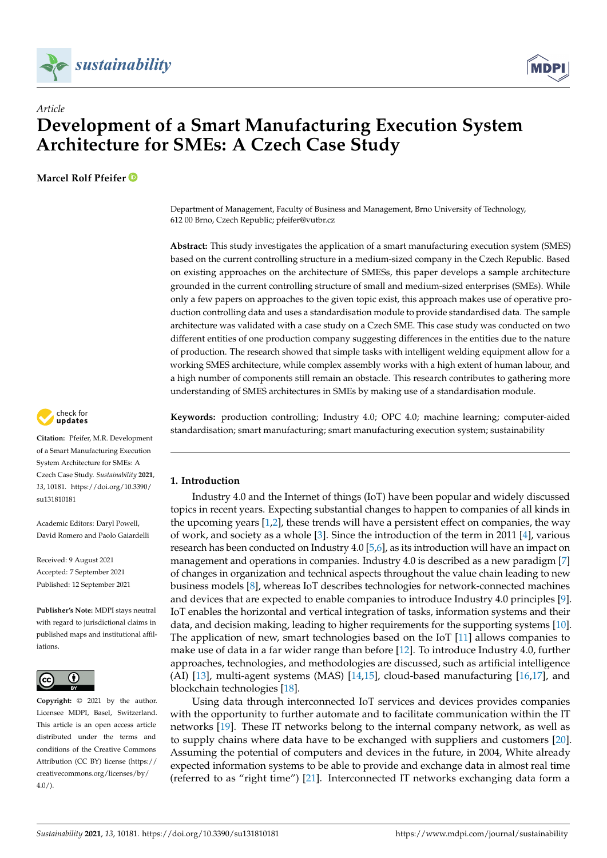



# *Article* **Development of a Smart Manufacturing Execution System Architecture for SMEs: A Czech Case Study**

**Marcel Rolf Pfeifer**

Department of Management, Faculty of Business and Management, Brno University of Technology, 612 00 Brno, Czech Republic; pfeifer@vutbr.cz

**Abstract:** This study investigates the application of a smart manufacturing execution system (SMES) based on the current controlling structure in a medium-sized company in the Czech Republic. Based on existing approaches on the architecture of SMESs, this paper develops a sample architecture grounded in the current controlling structure of small and medium-sized enterprises (SMEs). While only a few papers on approaches to the given topic exist, this approach makes use of operative production controlling data and uses a standardisation module to provide standardised data. The sample architecture was validated with a case study on a Czech SME. This case study was conducted on two different entities of one production company suggesting differences in the entities due to the nature of production. The research showed that simple tasks with intelligent welding equipment allow for a working SMES architecture, while complex assembly works with a high extent of human labour, and a high number of components still remain an obstacle. This research contributes to gathering more understanding of SMES architectures in SMEs by making use of a standardisation module.

check for<br>undates

**Citation:** Pfeifer, M.R. Development of a Smart Manufacturing Execution System Architecture for SMEs: A Czech Case Study. *Sustainability* **2021**, *13*, 10181. [https://doi.org/10.3390/](https://doi.org/10.3390/su131810181) [su131810181](https://doi.org/10.3390/su131810181)

Academic Editors: Daryl Powell, David Romero and Paolo Gaiardelli

Received: 9 August 2021 Accepted: 7 September 2021 Published: 12 September 2021

**Publisher's Note:** MDPI stays neutral with regard to jurisdictional claims in published maps and institutional affiliations.



**Copyright:** © 2021 by the author. Licensee MDPI, Basel, Switzerland. This article is an open access article distributed under the terms and conditions of the Creative Commons Attribution (CC BY) license (https:/[/](https://creativecommons.org/licenses/by/4.0/) [creativecommons.org/licenses/by/](https://creativecommons.org/licenses/by/4.0/)  $4.0/$ ).

**Keywords:** production controlling; Industry 4.0; OPC 4.0; machine learning; computer-aided standardisation; smart manufacturing; smart manufacturing execution system; sustainability

# **1. Introduction**

Industry 4.0 and the Internet of things (IoT) have been popular and widely discussed topics in recent years. Expecting substantial changes to happen to companies of all kinds in the upcoming years [\[1,](#page-18-0)[2\]](#page-18-1), these trends will have a persistent effect on companies, the way of work, and society as a whole [\[3\]](#page-18-2). Since the introduction of the term in 2011 [\[4\]](#page-18-3), various research has been conducted on Industry 4.0 [\[5,](#page-18-4)[6\]](#page-18-5), as its introduction will have an impact on management and operations in companies. Industry 4.0 is described as a new paradigm [\[7\]](#page-18-6) of changes in organization and technical aspects throughout the value chain leading to new business models [\[8\]](#page-18-7), whereas IoT describes technologies for network-connected machines and devices that are expected to enable companies to introduce Industry 4.0 principles [\[9\]](#page-18-8). IoT enables the horizontal and vertical integration of tasks, information systems and their data, and decision making, leading to higher requirements for the supporting systems [\[10\]](#page-18-9). The application of new, smart technologies based on the IoT [\[11\]](#page-18-10) allows companies to make use of data in a far wider range than before [\[12\]](#page-18-11). To introduce Industry 4.0, further approaches, technologies, and methodologies are discussed, such as artificial intelligence (AI) [\[13\]](#page-18-12), multi-agent systems (MAS) [\[14,](#page-18-13)[15\]](#page-18-14), cloud-based manufacturing [\[16,](#page-18-15)[17\]](#page-18-16), and blockchain technologies [\[18\]](#page-18-17).

Using data through interconnected IoT services and devices provides companies with the opportunity to further automate and to facilitate communication within the IT networks [\[19\]](#page-18-18). These IT networks belong to the internal company network, as well as to supply chains where data have to be exchanged with suppliers and customers [\[20\]](#page-18-19). Assuming the potential of computers and devices in the future, in 2004, White already expected information systems to be able to provide and exchange data in almost real time (referred to as "right time") [\[21\]](#page-18-20). Interconnected IT networks exchanging data form a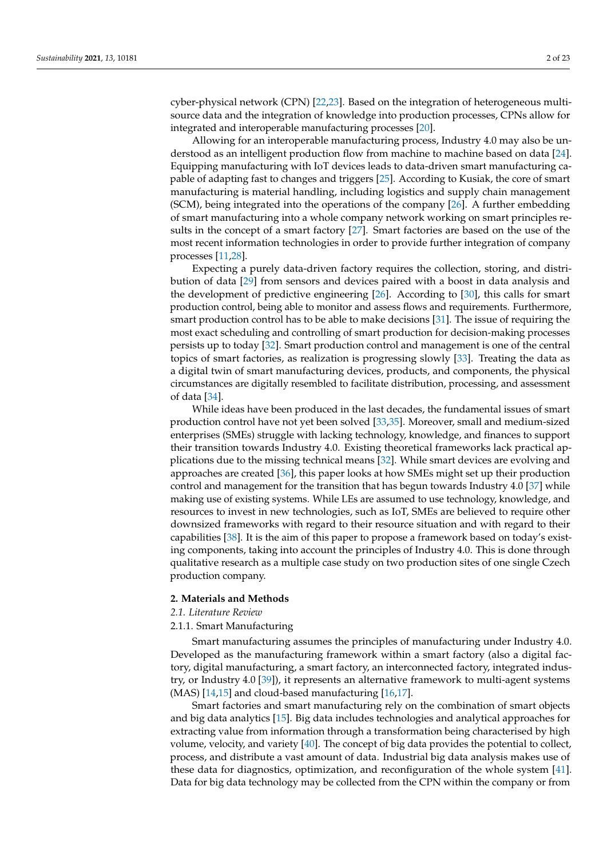cyber-physical network (CPN) [\[22](#page-18-21)[,23\]](#page-18-22). Based on the integration of heterogeneous multisource data and the integration of knowledge into production processes, CPNs allow for integrated and interoperable manufacturing processes [\[20\]](#page-18-19).

Allowing for an interoperable manufacturing process, Industry 4.0 may also be understood as an intelligent production flow from machine to machine based on data [\[24\]](#page-18-23). Equipping manufacturing with IoT devices leads to data-driven smart manufacturing capable of adapting fast to changes and triggers [\[25\]](#page-18-24). According to Kusiak, the core of smart manufacturing is material handling, including logistics and supply chain management (SCM), being integrated into the operations of the company [\[26\]](#page-18-25). A further embedding of smart manufacturing into a whole company network working on smart principles results in the concept of a smart factory [\[27\]](#page-18-26). Smart factories are based on the use of the most recent information technologies in order to provide further integration of company processes [\[11,](#page-18-10)[28\]](#page-19-0).

Expecting a purely data-driven factory requires the collection, storing, and distribution of data [\[29\]](#page-19-1) from sensors and devices paired with a boost in data analysis and the development of predictive engineering [\[26\]](#page-18-25). According to [\[30\]](#page-19-2), this calls for smart production control, being able to monitor and assess flows and requirements. Furthermore, smart production control has to be able to make decisions [\[31\]](#page-19-3). The issue of requiring the most exact scheduling and controlling of smart production for decision-making processes persists up to today [\[32\]](#page-19-4). Smart production control and management is one of the central topics of smart factories, as realization is progressing slowly [\[33\]](#page-19-5). Treating the data as a digital twin of smart manufacturing devices, products, and components, the physical circumstances are digitally resembled to facilitate distribution, processing, and assessment of data [\[34\]](#page-19-6).

While ideas have been produced in the last decades, the fundamental issues of smart production control have not yet been solved [\[33,](#page-19-5)[35\]](#page-19-7). Moreover, small and medium-sized enterprises (SMEs) struggle with lacking technology, knowledge, and finances to support their transition towards Industry 4.0. Existing theoretical frameworks lack practical applications due to the missing technical means [\[32\]](#page-19-4). While smart devices are evolving and approaches are created [\[36\]](#page-19-8), this paper looks at how SMEs might set up their production control and management for the transition that has begun towards Industry 4.0 [\[37\]](#page-19-9) while making use of existing systems. While LEs are assumed to use technology, knowledge, and resources to invest in new technologies, such as IoT, SMEs are believed to require other downsized frameworks with regard to their resource situation and with regard to their capabilities [\[38\]](#page-19-10). It is the aim of this paper to propose a framework based on today's existing components, taking into account the principles of Industry 4.0. This is done through qualitative research as a multiple case study on two production sites of one single Czech production company.

# **2. Materials and Methods**

## *2.1. Literature Review*

#### 2.1.1. Smart Manufacturing

Smart manufacturing assumes the principles of manufacturing under Industry 4.0. Developed as the manufacturing framework within a smart factory (also a digital factory, digital manufacturing, a smart factory, an interconnected factory, integrated industry, or Industry 4.0 [\[39\]](#page-19-11)), it represents an alternative framework to multi-agent systems (MAS) [\[14](#page-18-13)[,15\]](#page-18-14) and cloud-based manufacturing [\[16,](#page-18-15)[17\]](#page-18-16).

Smart factories and smart manufacturing rely on the combination of smart objects and big data analytics [\[15\]](#page-18-14). Big data includes technologies and analytical approaches for extracting value from information through a transformation being characterised by high volume, velocity, and variety [\[40\]](#page-19-12). The concept of big data provides the potential to collect, process, and distribute a vast amount of data. Industrial big data analysis makes use of these data for diagnostics, optimization, and reconfiguration of the whole system [\[41\]](#page-19-13). Data for big data technology may be collected from the CPN within the company or from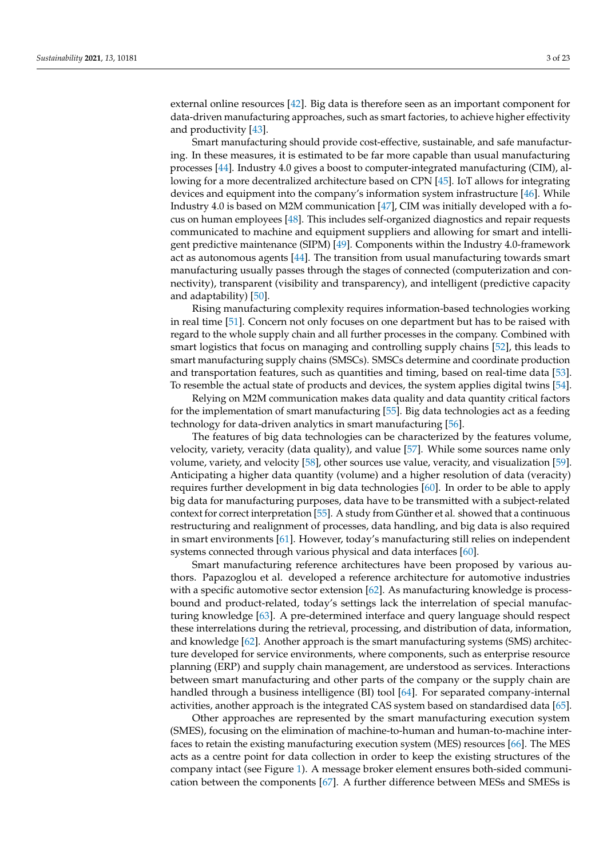external online resources [\[42\]](#page-19-14). Big data is therefore seen as an important component for data-driven manufacturing approaches, such as smart factories, to achieve higher effectivity and productivity [\[43\]](#page-19-15).

Smart manufacturing should provide cost-effective, sustainable, and safe manufacturing. In these measures, it is estimated to be far more capable than usual manufacturing processes [\[44\]](#page-19-16). Industry 4.0 gives a boost to computer-integrated manufacturing (CIM), allowing for a more decentralized architecture based on CPN [\[45\]](#page-19-17). IoT allows for integrating devices and equipment into the company's information system infrastructure [\[46\]](#page-19-18). While Industry 4.0 is based on M2M communication [\[47\]](#page-19-19), CIM was initially developed with a focus on human employees [\[48\]](#page-19-20). This includes self-organized diagnostics and repair requests communicated to machine and equipment suppliers and allowing for smart and intelligent predictive maintenance (SIPM) [\[49\]](#page-19-21). Components within the Industry 4.0-framework act as autonomous agents [\[44\]](#page-19-16). The transition from usual manufacturing towards smart manufacturing usually passes through the stages of connected (computerization and connectivity), transparent (visibility and transparency), and intelligent (predictive capacity and adaptability) [\[50\]](#page-19-22).

Rising manufacturing complexity requires information-based technologies working in real time [\[51\]](#page-19-23). Concern not only focuses on one department but has to be raised with regard to the whole supply chain and all further processes in the company. Combined with smart logistics that focus on managing and controlling supply chains [\[52\]](#page-19-24), this leads to smart manufacturing supply chains (SMSCs). SMSCs determine and coordinate production and transportation features, such as quantities and timing, based on real-time data [\[53\]](#page-19-25). To resemble the actual state of products and devices, the system applies digital twins [\[54\]](#page-19-26).

Relying on M2M communication makes data quality and data quantity critical factors for the implementation of smart manufacturing [\[55\]](#page-19-27). Big data technologies act as a feeding technology for data-driven analytics in smart manufacturing [\[56\]](#page-19-28).

The features of big data technologies can be characterized by the features volume, velocity, variety, veracity (data quality), and value [\[57\]](#page-20-0). While some sources name only volume, variety, and velocity [\[58\]](#page-20-1), other sources use value, veracity, and visualization [\[59\]](#page-20-2). Anticipating a higher data quantity (volume) and a higher resolution of data (veracity) requires further development in big data technologies [\[60\]](#page-20-3). In order to be able to apply big data for manufacturing purposes, data have to be transmitted with a subject-related context for correct interpretation [\[55\]](#page-19-27). A study from Günther et al. showed that a continuous restructuring and realignment of processes, data handling, and big data is also required in smart environments [\[61\]](#page-20-4). However, today's manufacturing still relies on independent systems connected through various physical and data interfaces [\[60\]](#page-20-3).

Smart manufacturing reference architectures have been proposed by various authors. Papazoglou et al. developed a reference architecture for automotive industries with a specific automotive sector extension [\[62\]](#page-20-5). As manufacturing knowledge is processbound and product-related, today's settings lack the interrelation of special manufacturing knowledge [\[63\]](#page-20-6). A pre-determined interface and query language should respect these interrelations during the retrieval, processing, and distribution of data, information, and knowledge [\[62\]](#page-20-5). Another approach is the smart manufacturing systems (SMS) architecture developed for service environments, where components, such as enterprise resource planning (ERP) and supply chain management, are understood as services. Interactions between smart manufacturing and other parts of the company or the supply chain are handled through a business intelligence (BI) tool [\[64\]](#page-20-7). For separated company-internal activities, another approach is the integrated CAS system based on standardised data [\[65\]](#page-20-8).

Other approaches are represented by the smart manufacturing execution system (SMES), focusing on the elimination of machine-to-human and human-to-machine interfaces to retain the existing manufacturing execution system (MES) resources [\[66\]](#page-20-9). The MES acts as a centre point for data collection in order to keep the existing structures of the company intact (see Figure [1\)](#page-3-0). A message broker element ensures both-sided communication between the components [\[67\]](#page-20-10). A further difference between MESs and SMESs is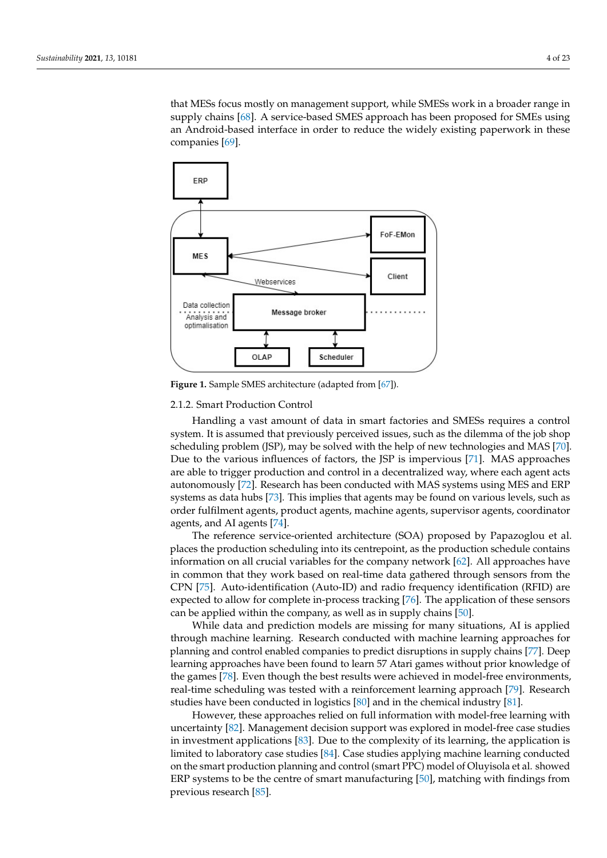that MESs focus mostly on management support, while SMESs work in a broader range in supply chains [\[68\]](#page-20-11). A service-based SMES approach has been proposed for SMEs using an Android-based interface in order to reduce the widely existing paperwork in these companies [\[69\]](#page-20-12).

<span id="page-3-0"></span>

**Figure 1.** Sample SMES architecture (adapted from [\[67\]](#page-20-10)).

## 2.1.2. Smart Production Control

Handling a vast amount of data in smart factories and SMESs requires a control system. It is assumed that previously perceived issues, such as the dilemma of the job shop scheduling problem (JSP), may be solved with the help of new technologies and MAS [\[70\]](#page-20-13). Due to the various influences of factors, the JSP is impervious [\[71\]](#page-20-14). MAS approaches are able to trigger production and control in a decentralized way, where each agent acts autonomously [\[72\]](#page-20-15). Research has been conducted with MAS systems using MES and ERP systems as data hubs [\[73\]](#page-20-16). This implies that agents may be found on various levels, such as order fulfilment agents, product agents, machine agents, supervisor agents, coordinator agents, and AI agents [\[74\]](#page-20-17).

The reference service-oriented architecture (SOA) proposed by Papazoglou et al. places the production scheduling into its centrepoint, as the production schedule contains information on all crucial variables for the company network [\[62\]](#page-20-5). All approaches have in common that they work based on real-time data gathered through sensors from the CPN [\[75\]](#page-20-18). Auto-identification (Auto-ID) and radio frequency identification (RFID) are expected to allow for complete in-process tracking [\[76\]](#page-20-19). The application of these sensors can be applied within the company, as well as in supply chains [\[50\]](#page-19-22).

While data and prediction models are missing for many situations, AI is applied through machine learning. Research conducted with machine learning approaches for planning and control enabled companies to predict disruptions in supply chains [\[77\]](#page-20-20). Deep learning approaches have been found to learn 57 Atari games without prior knowledge of the games [\[78\]](#page-20-21). Even though the best results were achieved in model-free environments, real-time scheduling was tested with a reinforcement learning approach [\[79\]](#page-20-22). Research studies have been conducted in logistics [\[80\]](#page-20-23) and in the chemical industry [\[81\]](#page-20-24).

However, these approaches relied on full information with model-free learning with uncertainty [\[82\]](#page-20-25). Management decision support was explored in model-free case studies in investment applications [\[83\]](#page-20-26). Due to the complexity of its learning, the application is limited to laboratory case studies [\[84\]](#page-20-27). Case studies applying machine learning conducted on the smart production planning and control (smart PPC) model of Oluyisola et al. showed ERP systems to be the centre of smart manufacturing [\[50\]](#page-19-22), matching with findings from previous research [\[85\]](#page-21-0).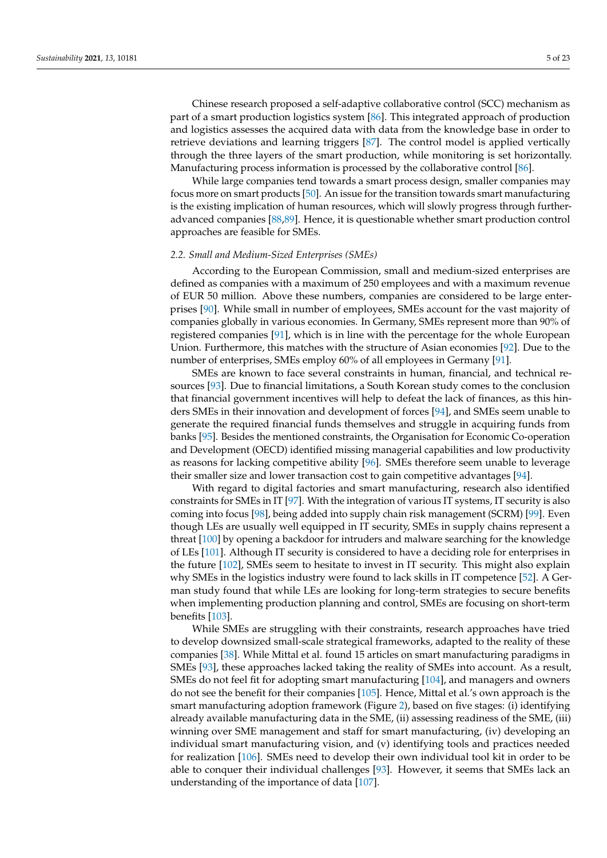Chinese research proposed a self-adaptive collaborative control (SCC) mechanism as part of a smart production logistics system [\[86\]](#page-21-1). This integrated approach of production and logistics assesses the acquired data with data from the knowledge base in order to retrieve deviations and learning triggers [\[87\]](#page-21-2). The control model is applied vertically through the three layers of the smart production, while monitoring is set horizontally. Manufacturing process information is processed by the collaborative control [\[86\]](#page-21-1).

While large companies tend towards a smart process design, smaller companies may focus more on smart products [\[50\]](#page-19-22). An issue for the transition towards smart manufacturing is the existing implication of human resources, which will slowly progress through furtheradvanced companies [\[88](#page-21-3)[,89\]](#page-21-4). Hence, it is questionable whether smart production control approaches are feasible for SMEs.

## *2.2. Small and Medium-Sized Enterprises (SMEs)*

According to the European Commission, small and medium-sized enterprises are defined as companies with a maximum of 250 employees and with a maximum revenue of EUR 50 million. Above these numbers, companies are considered to be large enterprises [\[90\]](#page-21-5). While small in number of employees, SMEs account for the vast majority of companies globally in various economies. In Germany, SMEs represent more than 90% of registered companies [\[91\]](#page-21-6), which is in line with the percentage for the whole European Union. Furthermore, this matches with the structure of Asian economies [\[92\]](#page-21-7). Due to the number of enterprises, SMEs employ 60% of all employees in Germany [\[91\]](#page-21-6).

SMEs are known to face several constraints in human, financial, and technical resources [\[93\]](#page-21-8). Due to financial limitations, a South Korean study comes to the conclusion that financial government incentives will help to defeat the lack of finances, as this hinders SMEs in their innovation and development of forces [\[94\]](#page-21-9), and SMEs seem unable to generate the required financial funds themselves and struggle in acquiring funds from banks [\[95\]](#page-21-10). Besides the mentioned constraints, the Organisation for Economic Co-operation and Development (OECD) identified missing managerial capabilities and low productivity as reasons for lacking competitive ability [\[96\]](#page-21-11). SMEs therefore seem unable to leverage their smaller size and lower transaction cost to gain competitive advantages [\[94\]](#page-21-9).

With regard to digital factories and smart manufacturing, research also identified constraints for SMEs in IT [\[97\]](#page-21-12). With the integration of various IT systems, IT security is also coming into focus [\[98\]](#page-21-13), being added into supply chain risk management (SCRM) [\[99\]](#page-21-14). Even though LEs are usually well equipped in IT security, SMEs in supply chains represent a threat [\[100\]](#page-21-15) by opening a backdoor for intruders and malware searching for the knowledge of LEs [\[101\]](#page-21-16). Although IT security is considered to have a deciding role for enterprises in the future [\[102\]](#page-21-17), SMEs seem to hesitate to invest in IT security. This might also explain why SMEs in the logistics industry were found to lack skills in IT competence [\[52\]](#page-19-24). A German study found that while LEs are looking for long-term strategies to secure benefits when implementing production planning and control, SMEs are focusing on short-term benefits [\[103\]](#page-21-18).

While SMEs are struggling with their constraints, research approaches have tried to develop downsized small-scale strategical frameworks, adapted to the reality of these companies [\[38\]](#page-19-10). While Mittal et al. found 15 articles on smart manufacturing paradigms in SMEs [\[93\]](#page-21-8), these approaches lacked taking the reality of SMEs into account. As a result, SMEs do not feel fit for adopting smart manufacturing [\[104\]](#page-21-19), and managers and owners do not see the benefit for their companies [\[105\]](#page-21-20). Hence, Mittal et al.'s own approach is the smart manufacturing adoption framework (Figure [2\)](#page-5-0), based on five stages: (i) identifying already available manufacturing data in the SME, (ii) assessing readiness of the SME, (iii) winning over SME management and staff for smart manufacturing, (iv) developing an individual smart manufacturing vision, and (v) identifying tools and practices needed for realization [\[106\]](#page-21-21). SMEs need to develop their own individual tool kit in order to be able to conquer their individual challenges [\[93\]](#page-21-8). However, it seems that SMEs lack an understanding of the importance of data [\[107\]](#page-21-22).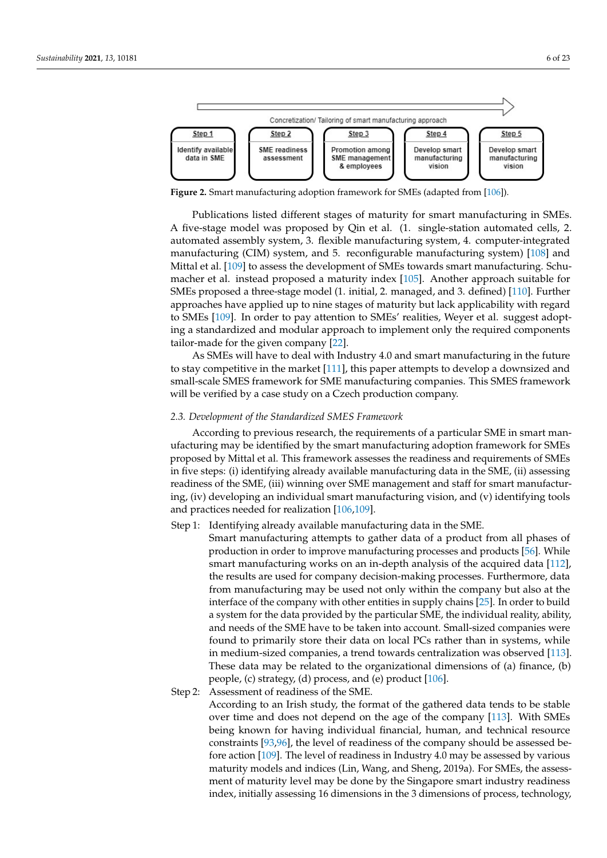<span id="page-5-0"></span>

**Figure 2.** Smart manufacturing adoption framework for SMEs (adapted from [\[106\]](#page-21-21)).

Publications listed different stages of maturity for smart manufacturing in SMEs. A five-stage model was proposed by Qin et al. (1. single-station automated cells, 2. automated assembly system, 3. flexible manufacturing system, 4. computer-integrated manufacturing (CIM) system, and 5. reconfigurable manufacturing system) [\[108\]](#page-21-23) and Mittal et al. [\[109\]](#page-21-24) to assess the development of SMEs towards smart manufacturing. Schumacher et al. instead proposed a maturity index [\[105\]](#page-21-20). Another approach suitable for SMEs proposed a three-stage model (1. initial, 2. managed, and 3. defined) [\[110\]](#page-21-25). Further approaches have applied up to nine stages of maturity but lack applicability with regard to SMEs [\[109\]](#page-21-24). In order to pay attention to SMEs' realities, Weyer et al. suggest adopting a standardized and modular approach to implement only the required components tailor-made for the given company [\[22\]](#page-18-21).

As SMEs will have to deal with Industry 4.0 and smart manufacturing in the future to stay competitive in the market [\[111\]](#page-21-26), this paper attempts to develop a downsized and small-scale SMES framework for SME manufacturing companies. This SMES framework will be verified by a case study on a Czech production company.

#### *2.3. Development of the Standardized SMES Framework*

According to previous research, the requirements of a particular SME in smart manufacturing may be identified by the smart manufacturing adoption framework for SMEs proposed by Mittal et al. This framework assesses the readiness and requirements of SMEs in five steps: (i) identifying already available manufacturing data in the SME, (ii) assessing readiness of the SME, (iii) winning over SME management and staff for smart manufacturing, (iv) developing an individual smart manufacturing vision, and (v) identifying tools and practices needed for realization [\[106](#page-21-21)[,109\]](#page-21-24).

Step 1: Identifying already available manufacturing data in the SME.

Smart manufacturing attempts to gather data of a product from all phases of production in order to improve manufacturing processes and products [\[56\]](#page-19-28). While smart manufacturing works on an in-depth analysis of the acquired data [\[112\]](#page-21-27), the results are used for company decision-making processes. Furthermore, data from manufacturing may be used not only within the company but also at the interface of the company with other entities in supply chains [\[25\]](#page-18-24). In order to build a system for the data provided by the particular SME, the individual reality, ability, and needs of the SME have to be taken into account. Small-sized companies were found to primarily store their data on local PCs rather than in systems, while in medium-sized companies, a trend towards centralization was observed [\[113\]](#page-21-28). These data may be related to the organizational dimensions of (a) finance, (b) people, (c) strategy, (d) process, and (e) product [\[106\]](#page-21-21).

Step 2: Assessment of readiness of the SME.

According to an Irish study, the format of the gathered data tends to be stable over time and does not depend on the age of the company [\[113\]](#page-21-28). With SMEs being known for having individual financial, human, and technical resource constraints [\[93,](#page-21-8)[96\]](#page-21-11), the level of readiness of the company should be assessed before action [\[109\]](#page-21-24). The level of readiness in Industry 4.0 may be assessed by various maturity models and indices (Lin, Wang, and Sheng, 2019a). For SMEs, the assessment of maturity level may be done by the Singapore smart industry readiness index, initially assessing 16 dimensions in the 3 dimensions of process, technology,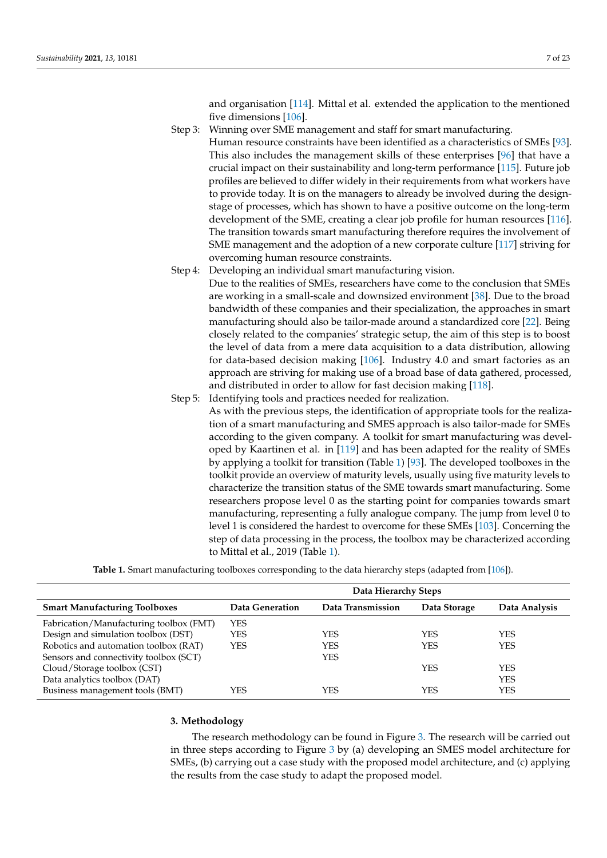and organisation [\[114\]](#page-21-29). Mittal et al. extended the application to the mentioned five dimensions [\[106\]](#page-21-21).

- Step 3: Winning over SME management and staff for smart manufacturing. Human resource constraints have been identified as a characteristics of SMEs [\[93\]](#page-21-8). This also includes the management skills of these enterprises [\[96\]](#page-21-11) that have a crucial impact on their sustainability and long-term performance [\[115\]](#page-22-0). Future job profiles are believed to differ widely in their requirements from what workers have to provide today. It is on the managers to already be involved during the designstage of processes, which has shown to have a positive outcome on the long-term development of the SME, creating a clear job profile for human resources [\[116\]](#page-22-1). The transition towards smart manufacturing therefore requires the involvement of SME management and the adoption of a new corporate culture [\[117\]](#page-22-2) striving for
- Step 4: Developing an individual smart manufacturing vision. Due to the realities of SMEs, researchers have come to the conclusion that SMEs are working in a small-scale and downsized environment [\[38\]](#page-19-10). Due to the broad bandwidth of these companies and their specialization, the approaches in smart manufacturing should also be tailor-made around a standardized core [\[22\]](#page-18-21). Being closely related to the companies' strategic setup, the aim of this step is to boost the level of data from a mere data acquisition to a data distribution, allowing for data-based decision making [\[106\]](#page-21-21). Industry 4.0 and smart factories as an approach are striving for making use of a broad base of data gathered, processed, and distributed in order to allow for fast decision making [\[118\]](#page-22-3).
- Step 5: Identifying tools and practices needed for realization.

overcoming human resource constraints.

As with the previous steps, the identification of appropriate tools for the realization of a smart manufacturing and SMES approach is also tailor-made for SMEs according to the given company. A toolkit for smart manufacturing was developed by Kaartinen et al. in [\[119\]](#page-22-4) and has been adapted for the reality of SMEs by applying a toolkit for transition (Table [1\)](#page-6-0) [\[93\]](#page-21-8). The developed toolboxes in the toolkit provide an overview of maturity levels, usually using five maturity levels to characterize the transition status of the SME towards smart manufacturing. Some researchers propose level 0 as the starting point for companies towards smart manufacturing, representing a fully analogue company. The jump from level 0 to level 1 is considered the hardest to overcome for these SMEs [\[103\]](#page-21-18). Concerning the step of data processing in the process, the toolbox may be characterized according to Mittal et al., 2019 (Table [1\)](#page-6-0).

**Table 1.** Smart manufacturing toolboxes corresponding to the data hierarchy steps (adapted from [\[106\]](#page-21-21)).

<span id="page-6-0"></span>

|                                         |                 | Data Hierarchy Steps |              |               |
|-----------------------------------------|-----------------|----------------------|--------------|---------------|
| <b>Smart Manufacturing Toolboxes</b>    | Data Generation | Data Transmission    | Data Storage | Data Analysis |
| Fabrication/Manufacturing toolbox (FMT) | <b>YES</b>      |                      |              |               |
| Design and simulation toolbox (DST)     | <b>YES</b>      | YES                  | <b>YES</b>   | <b>YES</b>    |
| Robotics and automation toolbox (RAT)   | <b>YES</b>      | YES                  | YES          | <b>YES</b>    |
| Sensors and connectivity toolbox (SCT)  |                 | YES                  |              |               |
| Cloud/Storage toolbox (CST)             |                 |                      | YES          | <b>YES</b>    |
| Data analytics toolbox (DAT)            |                 |                      |              | <b>YES</b>    |
| Business management tools (BMT)         | YES             | YES                  | YES          | YES           |

# **3. Methodology**

The research methodology can be found in Figure [3.](#page-7-0) The research will be carried out in three steps according to Figure [3](#page-7-0) by (a) developing an SMES model architecture for SMEs, (b) carrying out a case study with the proposed model architecture, and (c) applying the results from the case study to adapt the proposed model.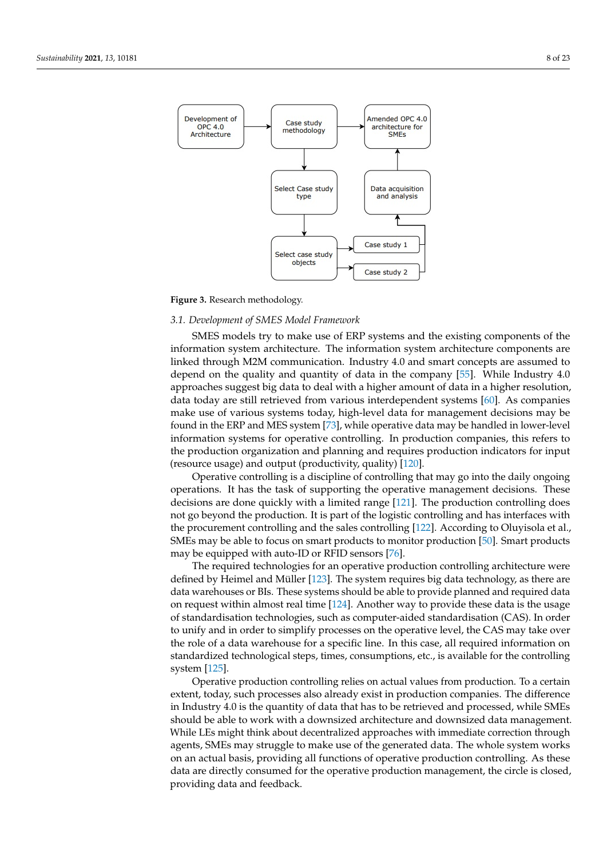<span id="page-7-0"></span>

**Figure 3.** Research methodology.

## *3.1. Development of SMES Model Framework*

SMES models try to make use of ERP systems and the existing components of the information system architecture. The information system architecture components are linked through M2M communication. Industry 4.0 and smart concepts are assumed to depend on the quality and quantity of data in the company [\[55\]](#page-19-27). While Industry 4.0 approaches suggest big data to deal with a higher amount of data in a higher resolution, data today are still retrieved from various interdependent systems [\[60\]](#page-20-3). As companies make use of various systems today, high-level data for management decisions may be found in the ERP and MES system [\[73\]](#page-20-16), while operative data may be handled in lower-level information systems for operative controlling. In production companies, this refers to the production organization and planning and requires production indicators for input (resource usage) and output (productivity, quality) [\[120\]](#page-22-5).

Operative controlling is a discipline of controlling that may go into the daily ongoing operations. It has the task of supporting the operative management decisions. These decisions are done quickly with a limited range [\[121\]](#page-22-6). The production controlling does not go beyond the production. It is part of the logistic controlling and has interfaces with the procurement controlling and the sales controlling [\[122\]](#page-22-7). According to Oluyisola et al., SMEs may be able to focus on smart products to monitor production [\[50\]](#page-19-22). Smart products may be equipped with auto-ID or RFID sensors [\[76\]](#page-20-19).

The required technologies for an operative production controlling architecture were defined by Heimel and Müller [\[123\]](#page-22-8). The system requires big data technology, as there are data warehouses or BIs. These systems should be able to provide planned and required data on request within almost real time [\[124\]](#page-22-9). Another way to provide these data is the usage of standardisation technologies, such as computer-aided standardisation (CAS). In order to unify and in order to simplify processes on the operative level, the CAS may take over the role of a data warehouse for a specific line. In this case, all required information on standardized technological steps, times, consumptions, etc., is available for the controlling system [\[125\]](#page-22-10).

Operative production controlling relies on actual values from production. To a certain extent, today, such processes also already exist in production companies. The difference in Industry 4.0 is the quantity of data that has to be retrieved and processed, while SMEs should be able to work with a downsized architecture and downsized data management. While LEs might think about decentralized approaches with immediate correction through agents, SMEs may struggle to make use of the generated data. The whole system works on an actual basis, providing all functions of operative production controlling. As these data are directly consumed for the operative production management, the circle is closed, providing data and feedback.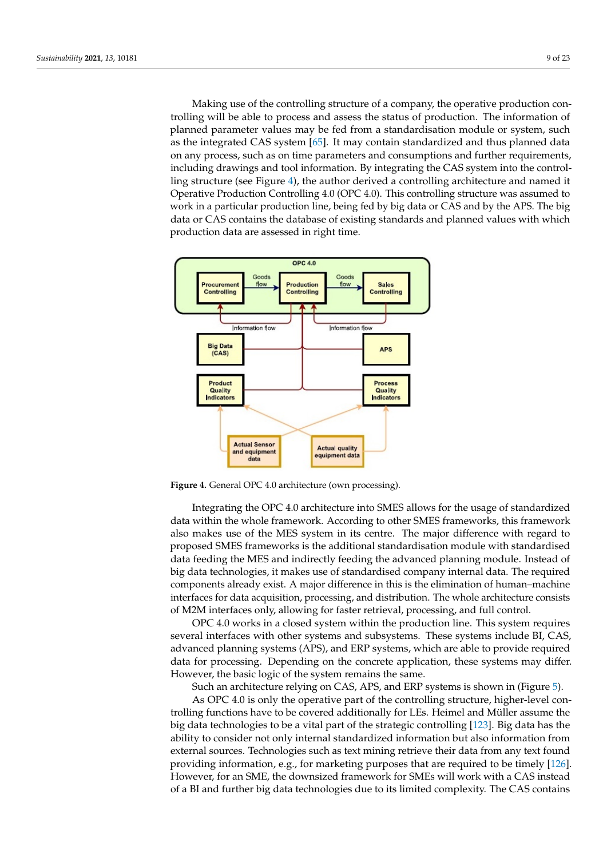Making use of the controlling structure of a company, the operative production controlling will be able to process and assess the status of production. The information of planned parameter values may be fed from a standardisation module or system, such as the integrated CAS system [\[65\]](#page-20-8). It may contain standardized and thus planned data on any process, such as on time parameters and consumptions and further requirements, including drawings and tool information. By integrating the CAS system into the controlling structure (see Figure [4\)](#page-8-0), the author derived a controlling architecture and named it Operative Production Controlling 4.0 (OPC 4.0). This controlling structure was assumed to work in a particular production line, being fed by big data or CAS and by the APS. The big data or CAS contains the database of existing standards and planned values with which production data are assessed in right time.

<span id="page-8-0"></span>

**Figure 4.** General OPC 4.0 architecture (own processing).

Integrating the OPC 4.0 architecture into SMES allows for the usage of standardized data within the whole framework. According to other SMES frameworks, this framework also makes use of the MES system in its centre. The major difference with regard to proposed SMES frameworks is the additional standardisation module with standardised data feeding the MES and indirectly feeding the advanced planning module. Instead of big data technologies, it makes use of standardised company internal data. The required components already exist. A major difference in this is the elimination of human–machine interfaces for data acquisition, processing, and distribution. The whole architecture consists of M2M interfaces only, allowing for faster retrieval, processing, and full control.

OPC 4.0 works in a closed system within the production line. This system requires several interfaces with other systems and subsystems. These systems include BI, CAS, advanced planning systems (APS), and ERP systems, which are able to provide required data for processing. Depending on the concrete application, these systems may differ. However, the basic logic of the system remains the same.

Such an architecture relying on CAS, APS, and ERP systems is shown in (Figure [5\)](#page-9-0).

As OPC 4.0 is only the operative part of the controlling structure, higher-level controlling functions have to be covered additionally for LEs. Heimel and Müller assume the big data technologies to be a vital part of the strategic controlling [\[123\]](#page-22-8). Big data has the ability to consider not only internal standardized information but also information from external sources. Technologies such as text mining retrieve their data from any text found providing information, e.g., for marketing purposes that are required to be timely [\[126\]](#page-22-11). However, for an SME, the downsized framework for SMEs will work with a CAS instead of a BI and further big data technologies due to its limited complexity. The CAS contains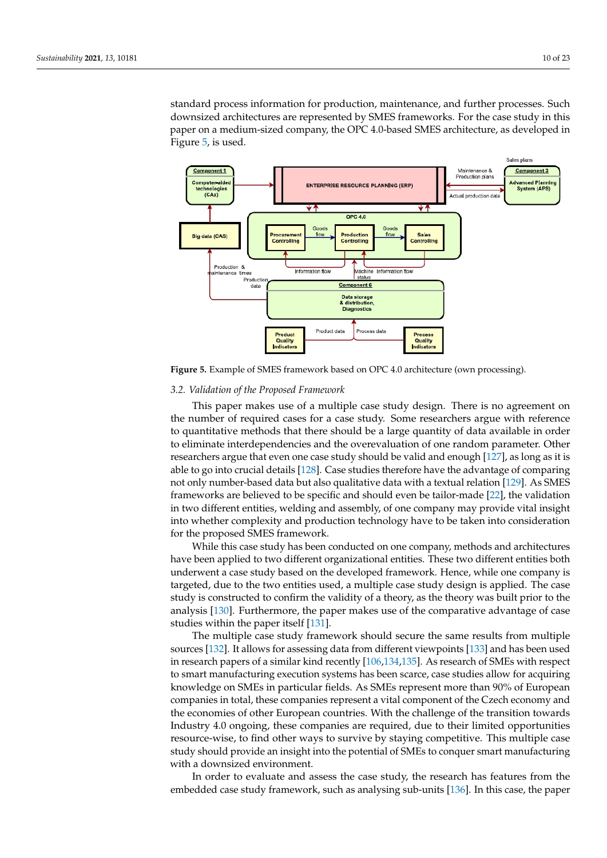standard process information for production, maintenance, and further processes. Such downsized architectures are represented by SMES frameworks. For the case study in this paper on a medium-sized company, the OPC 4.0-based SMES architecture, as developed in Figure [5,](#page-9-0) is used.

<span id="page-9-0"></span>

**Figure 5.** Example of SMES framework based on OPC 4.0 architecture (own processing).

#### *3.2. Validation of the Proposed Framework*

This paper makes use of a multiple case study design. There is no agreement on the number of required cases for a case study. Some researchers argue with reference to quantitative methods that there should be a large quantity of data available in order to eliminate interdependencies and the overevaluation of one random parameter. Other researchers argue that even one case study should be valid and enough [\[127\]](#page-22-12), as long as it is able to go into crucial details [\[128\]](#page-22-13). Case studies therefore have the advantage of comparing not only number-based data but also qualitative data with a textual relation [\[129\]](#page-22-14). As SMES frameworks are believed to be specific and should even be tailor-made [\[22\]](#page-18-21), the validation in two different entities, welding and assembly, of one company may provide vital insight into whether complexity and production technology have to be taken into consideration for the proposed SMES framework.

While this case study has been conducted on one company, methods and architectures have been applied to two different organizational entities. These two different entities both underwent a case study based on the developed framework. Hence, while one company is targeted, due to the two entities used, a multiple case study design is applied. The case study is constructed to confirm the validity of a theory, as the theory was built prior to the analysis [\[130\]](#page-22-15). Furthermore, the paper makes use of the comparative advantage of case studies within the paper itself [\[131\]](#page-22-16).

The multiple case study framework should secure the same results from multiple sources [\[132\]](#page-22-17). It allows for assessing data from different viewpoints [\[133\]](#page-22-18) and has been used in research papers of a similar kind recently [\[106,](#page-21-21)[134,](#page-22-19)[135\]](#page-22-20). As research of SMEs with respect to smart manufacturing execution systems has been scarce, case studies allow for acquiring knowledge on SMEs in particular fields. As SMEs represent more than 90% of European companies in total, these companies represent a vital component of the Czech economy and the economies of other European countries. With the challenge of the transition towards Industry 4.0 ongoing, these companies are required, due to their limited opportunities resource-wise, to find other ways to survive by staying competitive. This multiple case study should provide an insight into the potential of SMEs to conquer smart manufacturing with a downsized environment.

In order to evaluate and assess the case study, the research has features from the embedded case study framework, such as analysing sub-units [\[136\]](#page-22-21). In this case, the paper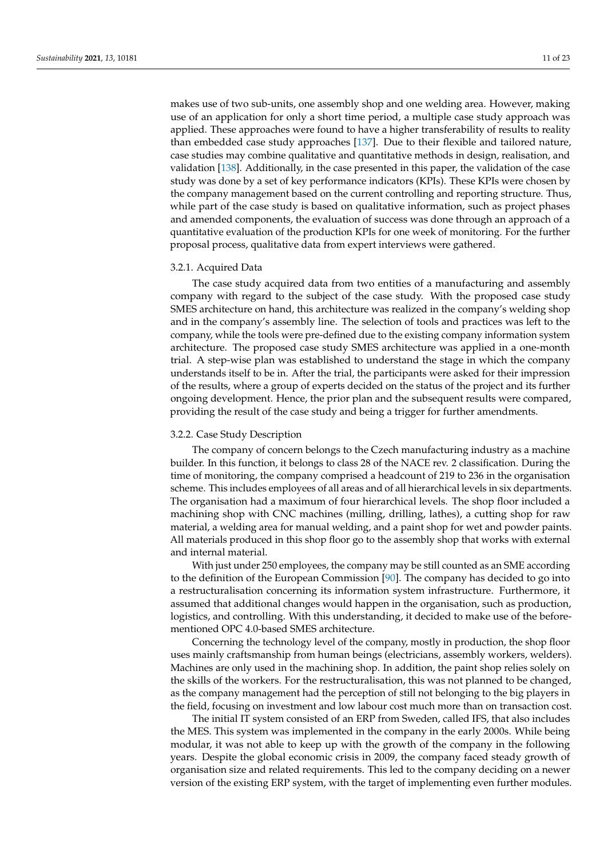makes use of two sub-units, one assembly shop and one welding area. However, making use of an application for only a short time period, a multiple case study approach was applied. These approaches were found to have a higher transferability of results to reality than embedded case study approaches [\[137\]](#page-22-22). Due to their flexible and tailored nature, case studies may combine qualitative and quantitative methods in design, realisation, and validation [\[138\]](#page-22-23). Additionally, in the case presented in this paper, the validation of the case study was done by a set of key performance indicators (KPIs). These KPIs were chosen by the company management based on the current controlling and reporting structure. Thus, while part of the case study is based on qualitative information, such as project phases and amended components, the evaluation of success was done through an approach of a quantitative evaluation of the production KPIs for one week of monitoring. For the further proposal process, qualitative data from expert interviews were gathered.

#### 3.2.1. Acquired Data

The case study acquired data from two entities of a manufacturing and assembly company with regard to the subject of the case study. With the proposed case study SMES architecture on hand, this architecture was realized in the company's welding shop and in the company's assembly line. The selection of tools and practices was left to the company, while the tools were pre-defined due to the existing company information system architecture. The proposed case study SMES architecture was applied in a one-month trial. A step-wise plan was established to understand the stage in which the company understands itself to be in. After the trial, the participants were asked for their impression of the results, where a group of experts decided on the status of the project and its further ongoing development. Hence, the prior plan and the subsequent results were compared, providing the result of the case study and being a trigger for further amendments.

#### 3.2.2. Case Study Description

The company of concern belongs to the Czech manufacturing industry as a machine builder. In this function, it belongs to class 28 of the NACE rev. 2 classification. During the time of monitoring, the company comprised a headcount of 219 to 236 in the organisation scheme. This includes employees of all areas and of all hierarchical levels in six departments. The organisation had a maximum of four hierarchical levels. The shop floor included a machining shop with CNC machines (milling, drilling, lathes), a cutting shop for raw material, a welding area for manual welding, and a paint shop for wet and powder paints. All materials produced in this shop floor go to the assembly shop that works with external and internal material.

With just under 250 employees, the company may be still counted as an SME according to the definition of the European Commission [\[90\]](#page-21-5). The company has decided to go into a restructuralisation concerning its information system infrastructure. Furthermore, it assumed that additional changes would happen in the organisation, such as production, logistics, and controlling. With this understanding, it decided to make use of the beforementioned OPC 4.0-based SMES architecture.

Concerning the technology level of the company, mostly in production, the shop floor uses mainly craftsmanship from human beings (electricians, assembly workers, welders). Machines are only used in the machining shop. In addition, the paint shop relies solely on the skills of the workers. For the restructuralisation, this was not planned to be changed, as the company management had the perception of still not belonging to the big players in the field, focusing on investment and low labour cost much more than on transaction cost.

The initial IT system consisted of an ERP from Sweden, called IFS, that also includes the MES. This system was implemented in the company in the early 2000s. While being modular, it was not able to keep up with the growth of the company in the following years. Despite the global economic crisis in 2009, the company faced steady growth of organisation size and related requirements. This led to the company deciding on a newer version of the existing ERP system, with the target of implementing even further modules.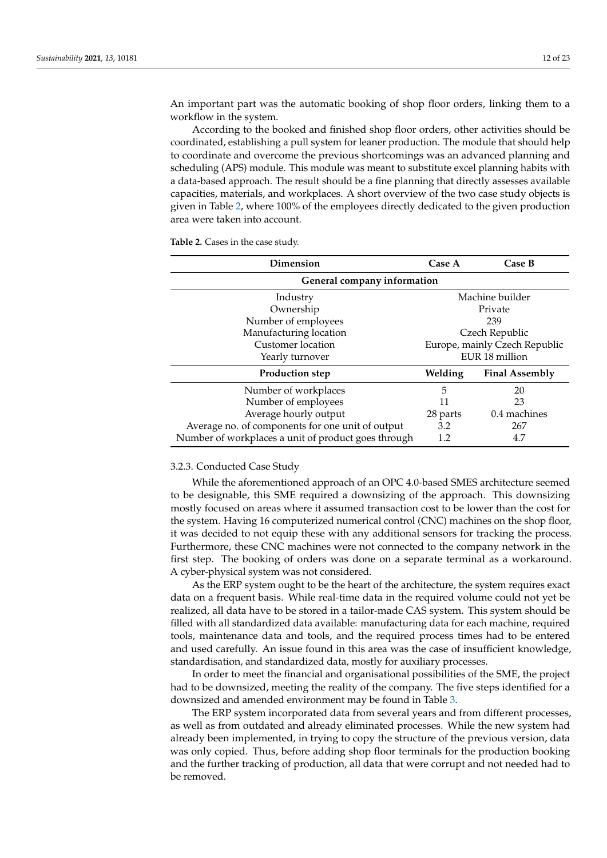An important part was the automatic booking of shop floor orders, linking them to a workflow in the system.

According to the booked and finished shop floor orders, other activities should be coordinated, establishing a pull system for leaner production. The module that should help to coordinate and overcome the previous shortcomings was an advanced planning and scheduling (APS) module. This module was meant to substitute excel planning habits with a data-based approach. The result should be a fine planning that directly assesses available capacities, materials, and workplaces. A short overview of the two case study objects is given in Table [2,](#page-11-0) where 100% of the employees directly dedicated to the given production area were taken into account.

| Dimension                                           | Case A   | Case B                        |  |
|-----------------------------------------------------|----------|-------------------------------|--|
| General company information                         |          |                               |  |
| Industry                                            |          | Machine builder               |  |
| Ownership                                           |          | Private                       |  |
| Number of employees                                 |          | 239                           |  |
| Manufacturing location                              |          | Czech Republic                |  |
| Customer location                                   |          | Europe, mainly Czech Republic |  |
| Yearly turnover                                     |          | EUR 18 million                |  |
| <b>Production step</b>                              | Welding  | <b>Final Assembly</b>         |  |
| Number of workplaces                                | 5        | 20                            |  |
| Number of employees                                 | 11       | 23                            |  |
| Average hourly output                               | 28 parts | 0.4 machines                  |  |
| Average no. of components for one unit of output    | 3.2      | 267                           |  |
| Number of workplaces a unit of product goes through | 1.2      | 4.7                           |  |

<span id="page-11-0"></span>**Table 2.** Cases in the case study.

#### 3.2.3. Conducted Case Study

While the aforementioned approach of an OPC 4.0-based SMES architecture seemed to be designable, this SME required a downsizing of the approach. This downsizing mostly focused on areas where it assumed transaction cost to be lower than the cost for the system. Having 16 computerized numerical control (CNC) machines on the shop floor, it was decided to not equip these with any additional sensors for tracking the process. Furthermore, these CNC machines were not connected to the company network in the first step. The booking of orders was done on a separate terminal as a workaround. A cyber-physical system was not considered.

As the ERP system ought to be the heart of the architecture, the system requires exact data on a frequent basis. While real-time data in the required volume could not yet be realized, all data have to be stored in a tailor-made CAS system. This system should be filled with all standardized data available: manufacturing data for each machine, required tools, maintenance data and tools, and the required process times had to be entered and used carefully. An issue found in this area was the case of insufficient knowledge, standardisation, and standardized data, mostly for auxiliary processes.

In order to meet the financial and organisational possibilities of the SME, the project had to be downsized, meeting the reality of the company. The five steps identified for a downsized and amended environment may be found in Table [3.](#page-12-0)

The ERP system incorporated data from several years and from different processes, as well as from outdated and already eliminated processes. While the new system had already been implemented, in trying to copy the structure of the previous version, data was only copied. Thus, before adding shop floor terminals for the production booking and the further tracking of production, all data that were corrupt and not needed had to be removed.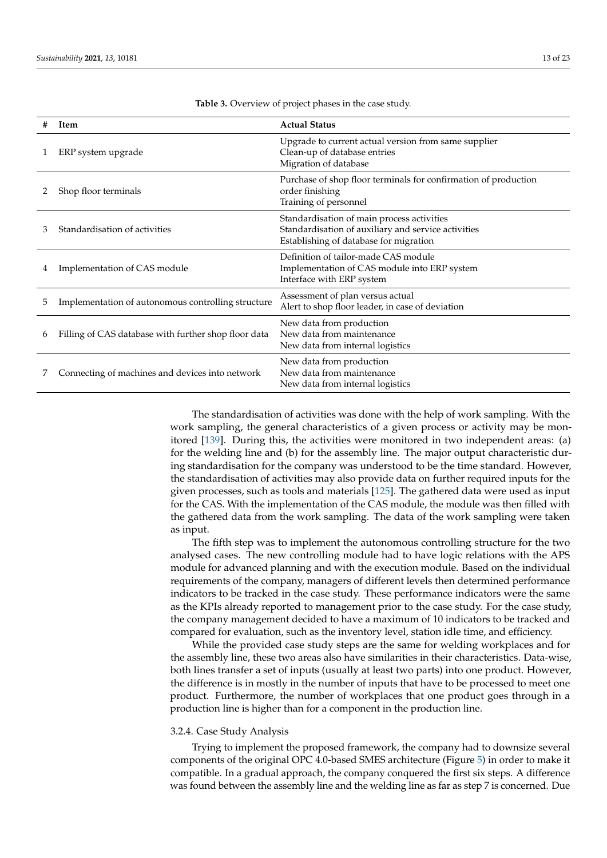<span id="page-12-0"></span>

|   | <b>Item</b>                                          | <b>Actual Status</b>                                                                                                                        |
|---|------------------------------------------------------|---------------------------------------------------------------------------------------------------------------------------------------------|
|   | ERP system upgrade                                   | Upgrade to current actual version from same supplier<br>Clean-up of database entries<br>Migration of database                               |
|   | Shop floor terminals                                 | Purchase of shop floor terminals for confirmation of production<br>order finishing<br>Training of personnel                                 |
| 3 | Standardisation of activities                        | Standardisation of main process activities<br>Standardisation of auxiliary and service activities<br>Establishing of database for migration |
|   | Implementation of CAS module                         | Definition of tailor-made CAS module<br>Implementation of CAS module into ERP system<br>Interface with ERP system                           |
| 5 | Implementation of autonomous controlling structure   | Assessment of plan versus actual<br>Alert to shop floor leader, in case of deviation                                                        |
| 6 | Filling of CAS database with further shop floor data | New data from production<br>New data from maintenance<br>New data from internal logistics                                                   |
|   | Connecting of machines and devices into network      | New data from production<br>New data from maintenance<br>New data from internal logistics                                                   |

**Table 3.** Overview of project phases in the case study.

The standardisation of activities was done with the help of work sampling. With the work sampling, the general characteristics of a given process or activity may be monitored [\[139\]](#page-22-24). During this, the activities were monitored in two independent areas: (a) for the welding line and (b) for the assembly line. The major output characteristic during standardisation for the company was understood to be the time standard. However, the standardisation of activities may also provide data on further required inputs for the given processes, such as tools and materials [\[125\]](#page-22-10). The gathered data were used as input for the CAS. With the implementation of the CAS module, the module was then filled with the gathered data from the work sampling. The data of the work sampling were taken as input.

The fifth step was to implement the autonomous controlling structure for the two analysed cases. The new controlling module had to have logic relations with the APS module for advanced planning and with the execution module. Based on the individual requirements of the company, managers of different levels then determined performance indicators to be tracked in the case study. These performance indicators were the same as the KPIs already reported to management prior to the case study. For the case study, the company management decided to have a maximum of 10 indicators to be tracked and compared for evaluation, such as the inventory level, station idle time, and efficiency.

While the provided case study steps are the same for welding workplaces and for the assembly line, these two areas also have similarities in their characteristics. Data-wise, both lines transfer a set of inputs (usually at least two parts) into one product. However, the difference is in mostly in the number of inputs that have to be processed to meet one product. Furthermore, the number of workplaces that one product goes through in a production line is higher than for a component in the production line.

#### 3.2.4. Case Study Analysis

Trying to implement the proposed framework, the company had to downsize several components of the original OPC 4.0-based SMES architecture (Figure [5\)](#page-9-0) in order to make it compatible. In a gradual approach, the company conquered the first six steps. A difference was found between the assembly line and the welding line as far as step 7 is concerned. Due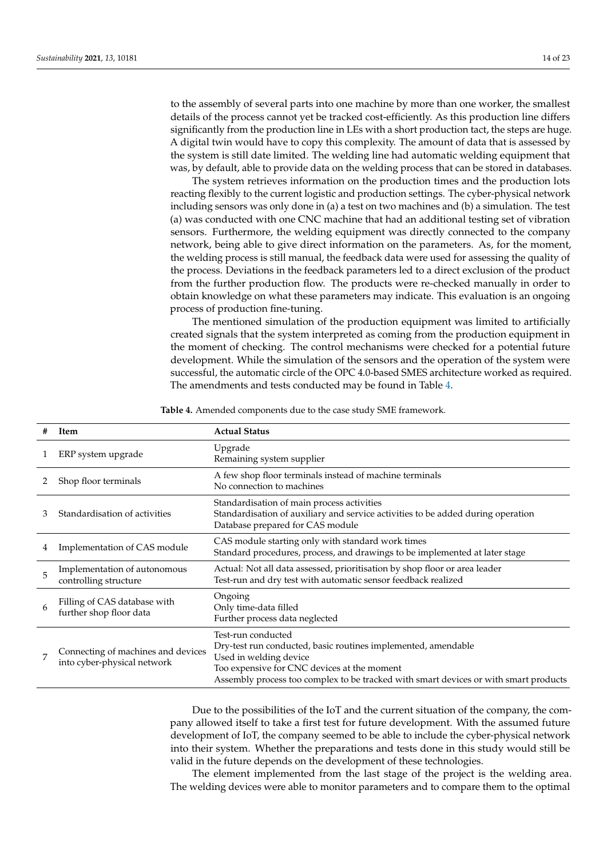to the assembly of several parts into one machine by more than one worker, the smallest details of the process cannot yet be tracked cost-efficiently. As this production line differs significantly from the production line in LEs with a short production tact, the steps are huge. A digital twin would have to copy this complexity. The amount of data that is assessed by the system is still date limited. The welding line had automatic welding equipment that was, by default, able to provide data on the welding process that can be stored in databases.

The system retrieves information on the production times and the production lots reacting flexibly to the current logistic and production settings. The cyber-physical network including sensors was only done in (a) a test on two machines and (b) a simulation. The test (a) was conducted with one CNC machine that had an additional testing set of vibration sensors. Furthermore, the welding equipment was directly connected to the company network, being able to give direct information on the parameters. As, for the moment, the welding process is still manual, the feedback data were used for assessing the quality of the process. Deviations in the feedback parameters led to a direct exclusion of the product from the further production flow. The products were re-checked manually in order to obtain knowledge on what these parameters may indicate. This evaluation is an ongoing process of production fine-tuning.

The mentioned simulation of the production equipment was limited to artificially created signals that the system interpreted as coming from the production equipment in the moment of checking. The control mechanisms were checked for a potential future development. While the simulation of the sensors and the operation of the system were successful, the automatic circle of the OPC 4.0-based SMES architecture worked as required. The amendments and tests conducted may be found in Table [4.](#page-13-0)

<span id="page-13-0"></span>

|   | Item                                                              | <b>Actual Status</b>                                                                                                                                                                                                                                 |
|---|-------------------------------------------------------------------|------------------------------------------------------------------------------------------------------------------------------------------------------------------------------------------------------------------------------------------------------|
|   | ERP system upgrade                                                | Upgrade<br>Remaining system supplier                                                                                                                                                                                                                 |
|   | Shop floor terminals                                              | A few shop floor terminals instead of machine terminals<br>No connection to machines                                                                                                                                                                 |
| 3 | Standardisation of activities                                     | Standardisation of main process activities<br>Standardisation of auxiliary and service activities to be added during operation<br>Database prepared for CAS module                                                                                   |
| 4 | Implementation of CAS module                                      | CAS module starting only with standard work times<br>Standard procedures, process, and drawings to be implemented at later stage                                                                                                                     |
| 5 | Implementation of autonomous<br>controlling structure             | Actual: Not all data assessed, prioritisation by shop floor or area leader<br>Test-run and dry test with automatic sensor feedback realized                                                                                                          |
| 6 | Filling of CAS database with<br>further shop floor data           | Ongoing<br>Only time-data filled<br>Further process data neglected                                                                                                                                                                                   |
| 7 | Connecting of machines and devices<br>into cyber-physical network | Test-run conducted<br>Dry-test run conducted, basic routines implemented, amendable<br>Used in welding device<br>Too expensive for CNC devices at the moment<br>Assembly process too complex to be tracked with smart devices or with smart products |

**Table 4.** Amended components due to the case study SME framework.

Due to the possibilities of the IoT and the current situation of the company, the company allowed itself to take a first test for future development. With the assumed future development of IoT, the company seemed to be able to include the cyber-physical network into their system. Whether the preparations and tests done in this study would still be valid in the future depends on the development of these technologies.

The element implemented from the last stage of the project is the welding area. The welding devices were able to monitor parameters and to compare them to the optimal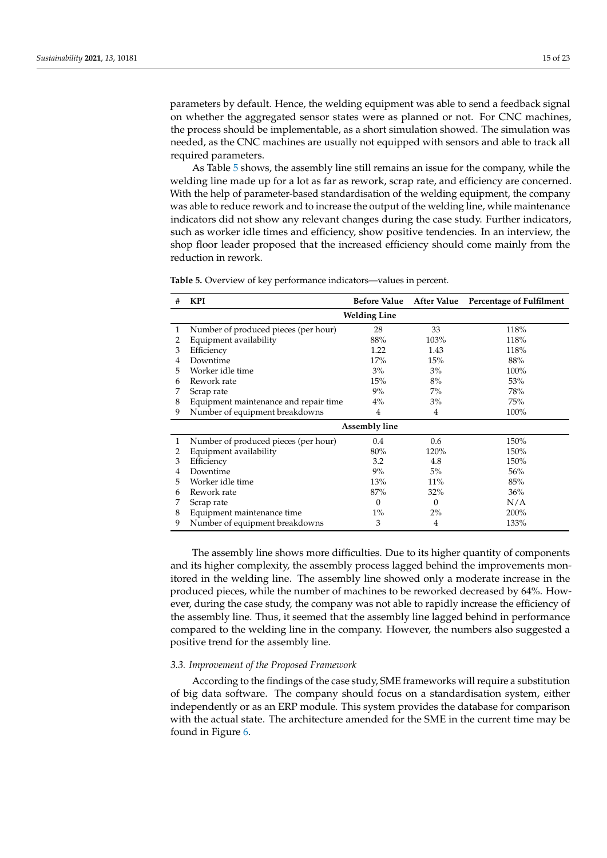parameters by default. Hence, the welding equipment was able to send a feedback signal on whether the aggregated sensor states were as planned or not. For CNC machines, the process should be implementable, as a short simulation showed. The simulation was needed, as the CNC machines are usually not equipped with sensors and able to track all required parameters.

As Table [5](#page-14-0) shows, the assembly line still remains an issue for the company, while the welding line made up for a lot as far as rework, scrap rate, and efficiency are concerned. With the help of parameter-based standardisation of the welding equipment, the company was able to reduce rework and to increase the output of the welding line, while maintenance indicators did not show any relevant changes during the case study. Further indicators, such as worker idle times and efficiency, show positive tendencies. In an interview, the shop floor leader proposed that the increased efficiency should come mainly from the reduction in rework.

| # | <b>KPI</b>                            | <b>Before Value</b> | After Value | Percentage of Fulfilment |
|---|---------------------------------------|---------------------|-------------|--------------------------|
|   | <b>Welding Line</b>                   |                     |             |                          |
| 1 | Number of produced pieces (per hour)  | 28                  | 33          | 118%                     |
| 2 | Equipment availability                | 88%                 | 103%        | 118%                     |
| 3 | Efficiency                            | 1.22                | 1.43        | 118%                     |
| 4 | Downtime                              | 17%                 | 15%         | 88%                      |
| 5 | Worker idle time                      | 3%                  | 3%          | 100%                     |
| 6 | Rework rate                           | 15%                 | 8%          | 53%                      |
| 7 | Scrap rate                            | 9%                  | $7\%$       | 78%                      |
| 8 | Equipment maintenance and repair time | $4\%$               | 3%          | 75%                      |
| 9 | Number of equipment breakdowns        | 4                   | 4           | 100%                     |
|   | Assembly line                         |                     |             |                          |
| 1 | Number of produced pieces (per hour)  | 0.4                 | 0.6         | 150%                     |
| 2 | Equipment availability                | 80%                 | 120%        | 150%                     |
| 3 | Efficiency                            | 3.2                 | 4.8         | 150%                     |
| 4 | Downtime                              | 9%                  | 5%          | 56%                      |
| 5 | Worker idle time                      | 13%                 | 11%         | 85%                      |
| 6 | Rework rate                           | 87%                 | 32%         | 36%                      |
| 7 | Scrap rate                            | $\Omega$            | $\Omega$    | N/A                      |
| 8 | Equipment maintenance time            | $1\%$               | 2%          | 200%                     |
| 9 | Number of equipment breakdowns        | 3                   | 4           | 133%                     |

<span id="page-14-0"></span>**Table 5.** Overview of key performance indicators—values in percent.

The assembly line shows more difficulties. Due to its higher quantity of components and its higher complexity, the assembly process lagged behind the improvements monitored in the welding line. The assembly line showed only a moderate increase in the produced pieces, while the number of machines to be reworked decreased by 64%. However, during the case study, the company was not able to rapidly increase the efficiency of the assembly line. Thus, it seemed that the assembly line lagged behind in performance compared to the welding line in the company. However, the numbers also suggested a positive trend for the assembly line.

#### *3.3. Improvement of the Proposed Framework*

According to the findings of the case study, SME frameworks will require a substitution of big data software. The company should focus on a standardisation system, either independently or as an ERP module. This system provides the database for comparison with the actual state. The architecture amended for the SME in the current time may be found in Figure [6.](#page-15-0)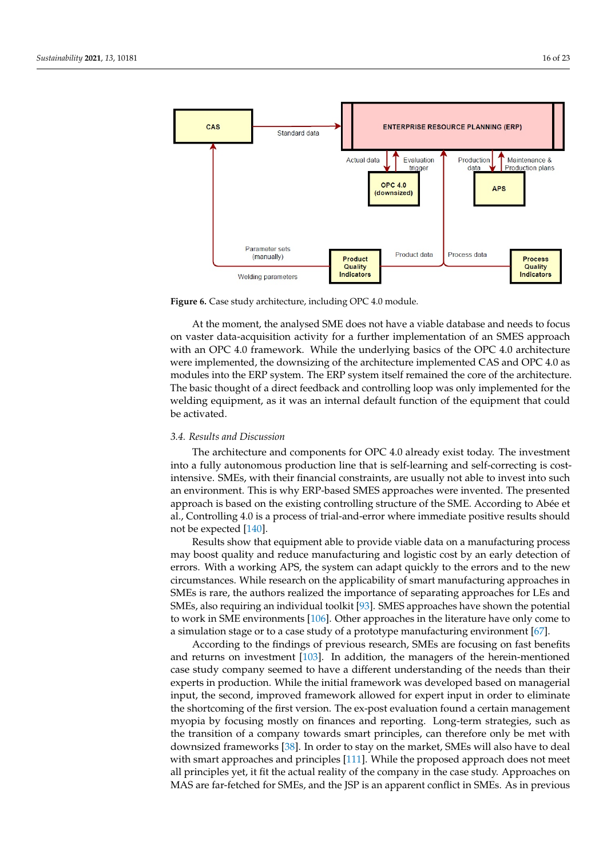<span id="page-15-0"></span>

**Figure 6.** Case study architecture, including OPC 4.0 module.

At the moment, the analysed SME does not have a viable database and needs to focus on vaster data-acquisition activity for a further implementation of an SMES approach with an OPC 4.0 framework. While the underlying basics of the OPC 4.0 architecture were implemented, the downsizing of the architecture implemented CAS and OPC 4.0 as modules into the ERP system. The ERP system itself remained the core of the architecture. The basic thought of a direct feedback and controlling loop was only implemented for the welding equipment, as it was an internal default function of the equipment that could be activated.

#### *3.4. Results and Discussion*

The architecture and components for OPC 4.0 already exist today. The investment into a fully autonomous production line that is self-learning and self-correcting is costintensive. SMEs, with their financial constraints, are usually not able to invest into such an environment. This is why ERP-based SMES approaches were invented. The presented approach is based on the existing controlling structure of the SME. According to Abée et al., Controlling 4.0 is a process of trial-and-error where immediate positive results should not be expected [\[140\]](#page-22-25).

Results show that equipment able to provide viable data on a manufacturing process may boost quality and reduce manufacturing and logistic cost by an early detection of errors. With a working APS, the system can adapt quickly to the errors and to the new circumstances. While research on the applicability of smart manufacturing approaches in SMEs is rare, the authors realized the importance of separating approaches for LEs and SMEs, also requiring an individual toolkit [\[93\]](#page-21-8). SMES approaches have shown the potential to work in SME environments [\[106\]](#page-21-21). Other approaches in the literature have only come to a simulation stage or to a case study of a prototype manufacturing environment [\[67\]](#page-20-10).

According to the findings of previous research, SMEs are focusing on fast benefits and returns on investment [\[103\]](#page-21-18). In addition, the managers of the herein-mentioned case study company seemed to have a different understanding of the needs than their experts in production. While the initial framework was developed based on managerial input, the second, improved framework allowed for expert input in order to eliminate the shortcoming of the first version. The ex-post evaluation found a certain management myopia by focusing mostly on finances and reporting. Long-term strategies, such as the transition of a company towards smart principles, can therefore only be met with downsized frameworks [\[38\]](#page-19-10). In order to stay on the market, SMEs will also have to deal with smart approaches and principles [\[111\]](#page-21-26). While the proposed approach does not meet all principles yet, it fit the actual reality of the company in the case study. Approaches on MAS are far-fetched for SMEs, and the JSP is an apparent conflict in SMEs. As in previous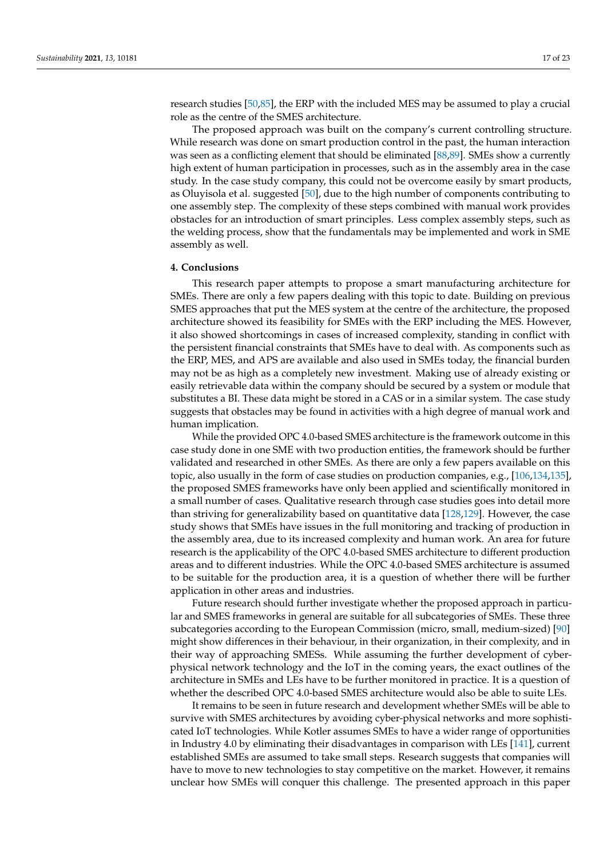research studies [\[50](#page-19-22)[,85\]](#page-21-0), the ERP with the included MES may be assumed to play a crucial role as the centre of the SMES architecture.

The proposed approach was built on the company's current controlling structure. While research was done on smart production control in the past, the human interaction was seen as a conflicting element that should be eliminated [\[88,](#page-21-3)[89\]](#page-21-4). SMEs show a currently high extent of human participation in processes, such as in the assembly area in the case study. In the case study company, this could not be overcome easily by smart products, as Oluyisola et al. suggested [\[50\]](#page-19-22), due to the high number of components contributing to one assembly step. The complexity of these steps combined with manual work provides obstacles for an introduction of smart principles. Less complex assembly steps, such as the welding process, show that the fundamentals may be implemented and work in SME assembly as well.

#### **4. Conclusions**

This research paper attempts to propose a smart manufacturing architecture for SMEs. There are only a few papers dealing with this topic to date. Building on previous SMES approaches that put the MES system at the centre of the architecture, the proposed architecture showed its feasibility for SMEs with the ERP including the MES. However, it also showed shortcomings in cases of increased complexity, standing in conflict with the persistent financial constraints that SMEs have to deal with. As components such as the ERP, MES, and APS are available and also used in SMEs today, the financial burden may not be as high as a completely new investment. Making use of already existing or easily retrievable data within the company should be secured by a system or module that substitutes a BI. These data might be stored in a CAS or in a similar system. The case study suggests that obstacles may be found in activities with a high degree of manual work and human implication.

While the provided OPC 4.0-based SMES architecture is the framework outcome in this case study done in one SME with two production entities, the framework should be further validated and researched in other SMEs. As there are only a few papers available on this topic, also usually in the form of case studies on production companies, e.g., [\[106](#page-21-21)[,134](#page-22-19)[,135\]](#page-22-20), the proposed SMES frameworks have only been applied and scientifically monitored in a small number of cases. Qualitative research through case studies goes into detail more than striving for generalizability based on quantitative data [\[128,](#page-22-13)[129\]](#page-22-14). However, the case study shows that SMEs have issues in the full monitoring and tracking of production in the assembly area, due to its increased complexity and human work. An area for future research is the applicability of the OPC 4.0-based SMES architecture to different production areas and to different industries. While the OPC 4.0-based SMES architecture is assumed to be suitable for the production area, it is a question of whether there will be further application in other areas and industries.

Future research should further investigate whether the proposed approach in particular and SMES frameworks in general are suitable for all subcategories of SMEs. These three subcategories according to the European Commission (micro, small, medium-sized) [\[90\]](#page-21-5) might show differences in their behaviour, in their organization, in their complexity, and in their way of approaching SMESs. While assuming the further development of cyberphysical network technology and the IoT in the coming years, the exact outlines of the architecture in SMEs and LEs have to be further monitored in practice. It is a question of whether the described OPC 4.0-based SMES architecture would also be able to suite LEs.

It remains to be seen in future research and development whether SMEs will be able to survive with SMES architectures by avoiding cyber-physical networks and more sophisticated IoT technologies. While Kotler assumes SMEs to have a wider range of opportunities in Industry 4.0 by eliminating their disadvantages in comparison with LEs [\[141\]](#page-22-26), current established SMEs are assumed to take small steps. Research suggests that companies will have to move to new technologies to stay competitive on the market. However, it remains unclear how SMEs will conquer this challenge. The presented approach in this paper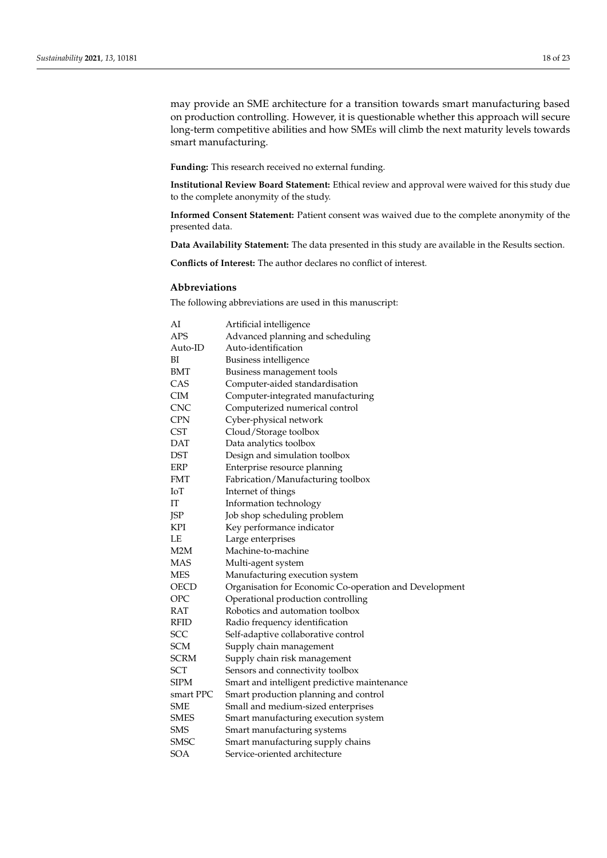may provide an SME architecture for a transition towards smart manufacturing based on production controlling. However, it is questionable whether this approach will secure long-term competitive abilities and how SMEs will climb the next maturity levels towards smart manufacturing.

**Funding:** This research received no external funding.

**Institutional Review Board Statement:** Ethical review and approval were waived for this study due to the complete anonymity of the study.

**Informed Consent Statement:** Patient consent was waived due to the complete anonymity of the presented data.

**Data Availability Statement:** The data presented in this study are available in the Results section.

**Conflicts of Interest:** The author declares no conflict of interest.

# **Abbreviations**

The following abbreviations are used in this manuscript:

| AI          | Artificial intelligence                                |
|-------------|--------------------------------------------------------|
| APS         | Advanced planning and scheduling                       |
| Auto-ID     | Auto-identification                                    |
| ВI          | Business intelligence                                  |
| <b>BMT</b>  | Business management tools                              |
| CAS         | Computer-aided standardisation                         |
| <b>CIM</b>  | Computer-integrated manufacturing                      |
| <b>CNC</b>  | Computerized numerical control                         |
| <b>CPN</b>  | Cyber-physical network                                 |
| <b>CST</b>  | Cloud/Storage toolbox                                  |
| DAT         | Data analytics toolbox                                 |
| <b>DST</b>  | Design and simulation toolbox                          |
| ERP         | Enterprise resource planning                           |
| FMT         | Fabrication/Manufacturing toolbox                      |
| IоT         | Internet of things                                     |
| IΤ          | Information technology                                 |
| JSP         | Job shop scheduling problem                            |
| <b>KPI</b>  | Key performance indicator                              |
| LE          | Large enterprises                                      |
| M2M         | Machine-to-machine                                     |
| <b>MAS</b>  | Multi-agent system                                     |
| <b>MES</b>  | Manufacturing execution system                         |
| <b>OECD</b> | Organisation for Economic Co-operation and Development |
| OPC         | Operational production controlling                     |
| RAT         | Robotics and automation toolbox                        |
| <b>RFID</b> | Radio frequency identification                         |
| SCC         | Self-adaptive collaborative control                    |
| <b>SCM</b>  | Supply chain management                                |
| <b>SCRM</b> | Supply chain risk management                           |
| <b>SCT</b>  | Sensors and connectivity toolbox                       |
| <b>SIPM</b> | Smart and intelligent predictive maintenance           |
| smart PPC   | Smart production planning and control                  |
| <b>SME</b>  | Small and medium-sized enterprises                     |
| <b>SMES</b> | Smart manufacturing execution system                   |
| <b>SMS</b>  | Smart manufacturing systems                            |
| <b>SMSC</b> | Smart manufacturing supply chains                      |
| <b>SOA</b>  | Service-oriented architecture                          |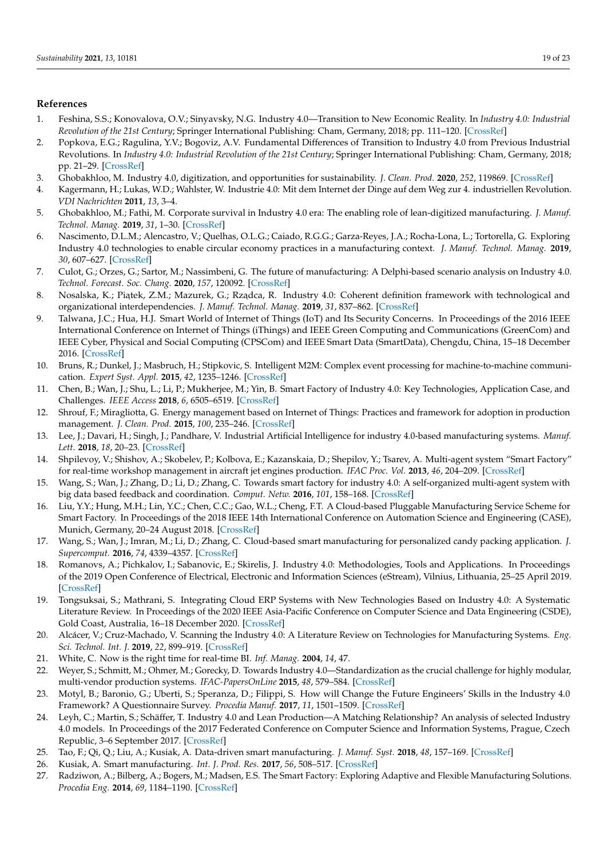# **References**

- <span id="page-18-0"></span>1. Feshina, S.S.; Konovalova, O.V.; Sinyavsky, N.G. Industry 4.0—Transition to New Economic Reality. In *Industry 4.0: Industrial Revolution of the 21st Century*; Springer International Publishing: Cham, Germany, 2018; pp. 111–120. [\[CrossRef\]](http://doi.org/10.1007/978-3-319-94310-7_11)
- <span id="page-18-1"></span>2. Popkova, E.G.; Ragulina, Y.V.; Bogoviz, A.V. Fundamental Differences of Transition to Industry 4.0 from Previous Industrial Revolutions. In *Industry 4.0: Industrial Revolution of the 21st Century*; Springer International Publishing: Cham, Germany, 2018; pp. 21–29. [\[CrossRef\]](http://dx.doi.org/10.1007/978-3-319-94310-7_3)
- <span id="page-18-2"></span>3. Ghobakhloo, M. Industry 4.0, digitization, and opportunities for sustainability. *J. Clean. Prod.* **2020**, *252*, 119869. [\[CrossRef\]](http://dx.doi.org/10.1016/j.jclepro.2019.119869)
- <span id="page-18-3"></span>4. Kagermann, H.; Lukas, W.D.; Wahlster, W. Industrie 4.0: Mit dem Internet der Dinge auf dem Weg zur 4. industriellen Revolution. *VDI Nachrichten* **2011**, *13*, 3–4.
- <span id="page-18-4"></span>5. Ghobakhloo, M.; Fathi, M. Corporate survival in Industry 4.0 era: The enabling role of lean-digitized manufacturing. *J. Manuf. Technol. Manag.* **2019**, *31*, 1–30. [\[CrossRef\]](http://dx.doi.org/10.1108/JMTM-11-2018-0417)
- <span id="page-18-5"></span>6. Nascimento, D.L.M.; Alencastro, V.; Quelhas, O.L.G.; Caiado, R.G.G.; Garza-Reyes, J.A.; Rocha-Lona, L.; Tortorella, G. Exploring Industry 4.0 technologies to enable circular economy practices in a manufacturing context. *J. Manuf. Technol. Manag.* **2019**, *30*, 607–627. [\[CrossRef\]](http://dx.doi.org/10.1108/JMTM-03-2018-0071)
- <span id="page-18-6"></span>7. Culot, G.; Orzes, G.; Sartor, M.; Nassimbeni, G. The future of manufacturing: A Delphi-based scenario analysis on Industry 4.0. *Technol. Forecast. Soc. Chang.* **2020**, *157*, 120092. [\[CrossRef\]](http://dx.doi.org/10.1016/j.techfore.2020.120092)
- <span id="page-18-7"></span>8. Nosalska, K.; Piątek, Z.M.; Mazurek, G.; Rządca, R. Industry 4.0: Coherent definition framework with technological and organizational interdependencies. *J. Manuf. Technol. Manag.* **2019**, *31*, 837–862. [\[CrossRef\]](http://dx.doi.org/10.1108/JMTM-08-2018-0238)
- <span id="page-18-8"></span>9. Talwana, J.C.; Hua, H.J. Smart World of Internet of Things (IoT) and Its Security Concerns. In Proceedings of the 2016 IEEE International Conference on Internet of Things (iThings) and IEEE Green Computing and Communications (GreenCom) and IEEE Cyber, Physical and Social Computing (CPSCom) and IEEE Smart Data (SmartData), Chengdu, China, 15–18 December 2016. [\[CrossRef\]](http://dx.doi.org/10.1109/ithings-greencom-cpscom-smartdata.2016.64)
- <span id="page-18-9"></span>10. Bruns, R.; Dunkel, J.; Masbruch, H.; Stipkovic, S. Intelligent M2M: Complex event processing for machine-to-machine communication. *Expert Syst. Appl.* **2015**, *42*, 1235–1246. [\[CrossRef\]](http://dx.doi.org/10.1016/j.eswa.2014.09.005)
- <span id="page-18-10"></span>11. Chen, B.; Wan, J.; Shu, L.; Li, P.; Mukherjee, M.; Yin, B. Smart Factory of Industry 4.0: Key Technologies, Application Case, and Challenges. *IEEE Access* **2018**, *6*, 6505–6519. [\[CrossRef\]](http://dx.doi.org/10.1109/ACCESS.2017.2783682)
- <span id="page-18-11"></span>12. Shrouf, F.; Miragliotta, G. Energy management based on Internet of Things: Practices and framework for adoption in production management. *J. Clean. Prod.* **2015**, *100*, 235–246. [\[CrossRef\]](http://dx.doi.org/10.1016/j.jclepro.2015.03.055)
- <span id="page-18-12"></span>13. Lee, J.; Davari, H.; Singh, J.; Pandhare, V. Industrial Artificial Intelligence for industry 4.0-based manufacturing systems. *Manuf. Lett.* **2018**, *18*, 20–23. [\[CrossRef\]](http://dx.doi.org/10.1016/j.mfglet.2018.09.002)
- <span id="page-18-13"></span>14. Shpilevoy, V.; Shishov, A.; Skobelev, P.; Kolbova, E.; Kazanskaia, D.; Shepilov, Y.; Tsarev, A. Multi-agent system "Smart Factory" for real-time workshop management in aircraft jet engines production. *IFAC Proc. Vol.* **2013**, *46*, 204–209. [\[CrossRef\]](http://dx.doi.org/10.3182/20130522-3-BR-4036.00025)
- <span id="page-18-14"></span>15. Wang, S.; Wan, J.; Zhang, D.; Li, D.; Zhang, C. Towards smart factory for industry 4.0: A self-organized multi-agent system with big data based feedback and coordination. *Comput. Netw.* **2016**, *101*, 158–168. [\[CrossRef\]](http://dx.doi.org/10.1016/j.comnet.2015.12.017)
- <span id="page-18-15"></span>16. Liu, Y.Y.; Hung, M.H.; Lin, Y.C.; Chen, C.C.; Gao, W.L.; Cheng, F.T. A Cloud-based Pluggable Manufacturing Service Scheme for Smart Factory. In Proceedings of the 2018 IEEE 14th International Conference on Automation Science and Engineering (CASE), Munich, Germany, 20–24 August 2018. [\[CrossRef\]](http://dx.doi.org/10.1109/coase.2018.8560401)
- <span id="page-18-16"></span>17. Wang, S.; Wan, J.; Imran, M.; Li, D.; Zhang, C. Cloud-based smart manufacturing for personalized candy packing application. *J. Supercomput.* **2016**, *74*, 4339–4357. [\[CrossRef\]](http://dx.doi.org/10.1007/s11227-016-1879-4)
- <span id="page-18-17"></span>18. Romanovs, A.; Pichkalov, I.; Sabanovic, E.; Skirelis, J. Industry 4.0: Methodologies, Tools and Applications. In Proceedings of the 2019 Open Conference of Electrical, Electronic and Information Sciences (eStream), Vilnius, Lithuania, 25–25 April 2019. [\[CrossRef\]](http://dx.doi.org/10.1109/estream.2019.8732150)
- <span id="page-18-18"></span>19. Tongsuksai, S.; Mathrani, S. Integrating Cloud ERP Systems with New Technologies Based on Industry 4.0: A Systematic Literature Review. In Proceedings of the 2020 IEEE Asia-Pacific Conference on Computer Science and Data Engineering (CSDE), Gold Coast, Australia, 16–18 December 2020. [\[CrossRef\]](http://dx.doi.org/10.1109/csde50874.2020.9411570)
- <span id="page-18-19"></span>20. Alcácer, V.; Cruz-Machado, V. Scanning the Industry 4.0: A Literature Review on Technologies for Manufacturing Systems. *Eng. Sci. Technol. Int. J.* **2019**, *22*, 899–919. [\[CrossRef\]](http://dx.doi.org/10.1016/j.jestch.2019.01.006)
- <span id="page-18-20"></span>21. White, C. Now is the right time for real-time BI. *Inf. Manag.* **2004**, *14*, 47.
- <span id="page-18-21"></span>22. Weyer, S.; Schmitt, M.; Ohmer, M.; Gorecky, D. Towards Industry 4.0—Standardization as the crucial challenge for highly modular, multi-vendor production systems. *IFAC-PapersOnLine* **2015**, *48*, 579–584. [\[CrossRef\]](http://dx.doi.org/10.1016/j.ifacol.2015.06.143)
- <span id="page-18-22"></span>23. Motyl, B.; Baronio, G.; Uberti, S.; Speranza, D.; Filippi, S. How will Change the Future Engineers' Skills in the Industry 4.0 Framework? A Questionnaire Survey. *Procedia Manuf.* **2017**, *11*, 1501–1509. [\[CrossRef\]](http://dx.doi.org/10.1016/j.promfg.2017.07.282)
- <span id="page-18-23"></span>24. Leyh, C.; Martin, S.; Schäffer, T. Industry 4.0 and Lean Production—A Matching Relationship? An analysis of selected Industry 4.0 models. In Proceedings of the 2017 Federated Conference on Computer Science and Information Systems, Prague, Czech Republic, 3–6 September 2017. [\[CrossRef\]](http://dx.doi.org/10.15439/2017f365)
- <span id="page-18-24"></span>25. Tao, F.; Qi, Q.; Liu, A.; Kusiak, A. Data-driven smart manufacturing. *J. Manuf. Syst.* **2018**, *48*, 157–169. [\[CrossRef\]](http://dx.doi.org/10.1016/j.jmsy.2018.01.006)
- <span id="page-18-25"></span>26. Kusiak, A. Smart manufacturing. *Int. J. Prod. Res.* **2017**, *56*, 508–517. [\[CrossRef\]](http://dx.doi.org/10.1080/00207543.2017.1351644)
- <span id="page-18-26"></span>27. Radziwon, A.; Bilberg, A.; Bogers, M.; Madsen, E.S. The Smart Factory: Exploring Adaptive and Flexible Manufacturing Solutions. *Procedia Eng.* **2014**, *69*, 1184–1190. [\[CrossRef\]](http://dx.doi.org/10.1016/j.proeng.2014.03.108)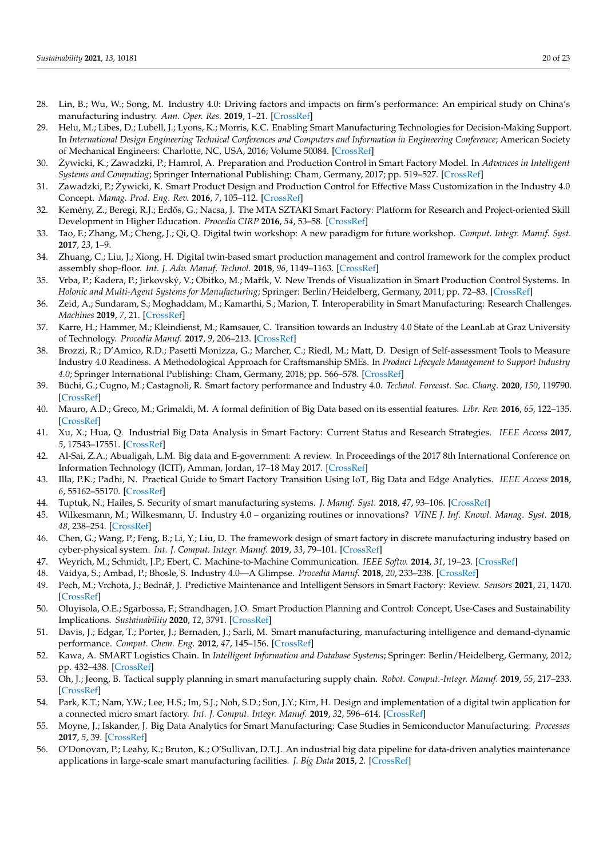- <span id="page-19-0"></span>28. Lin, B.; Wu, W.; Song, M. Industry 4.0: Driving factors and impacts on firm's performance: An empirical study on China's manufacturing industry. *Ann. Oper. Res.* **2019**, 1–21. [\[CrossRef\]](http://dx.doi.org/10.1007/s10479-019-03197-z)
- <span id="page-19-1"></span>29. Helu, M.; Libes, D.; Lubell, J.; Lyons, K.; Morris, K.C. Enabling Smart Manufacturing Technologies for Decision-Making Support. In *International Design Engineering Technical Conferences and Computers and Information in Engineering Conference*; American Society of Mechanical Engineers: Charlotte, NC, USA, 2016; Volume 50084. [\[CrossRef\]](http://dx.doi.org/10.1115/detc2016-59721)
- <span id="page-19-2"></span>30. Zywicki, K.; Zawadzki, P.; Hamrol, A. Preparation and Production Control in Smart Factory Model. In ˙ *Advances in Intelligent Systems and Computing*; Springer International Publishing: Cham, Germany, 2017; pp. 519–527. [\[CrossRef\]](http://dx.doi.org/10.1007/978-3-319-56541-5_53)
- <span id="page-19-3"></span>31. Zawadzki, P.; Zywicki, K. Smart Product Design and Production Control for Effective Mass Customization in the Industry 4.0 ˙ Concept. *Manag. Prod. Eng. Rev.* **2016**, *7*, 105–112. [\[CrossRef\]](http://dx.doi.org/10.1515/mper-2016-0030)
- <span id="page-19-4"></span>32. Kemény, Z.; Beregi, R.J.; Erdős, G.; Nacsa, J. The MTA SZTAKI Smart Factory: Platform for Research and Project-oriented Skill Development in Higher Education. *Procedia CIRP* **2016**, *54*, 53–58. [\[CrossRef\]](http://dx.doi.org/10.1016/j.procir.2016.05.060)
- <span id="page-19-5"></span>33. Tao, F.; Zhang, M.; Cheng, J.; Qi, Q. Digital twin workshop: A new paradigm for future workshop. *Comput. Integr. Manuf. Syst.* **2017**, *23*, 1–9.
- <span id="page-19-6"></span>34. Zhuang, C.; Liu, J.; Xiong, H. Digital twin-based smart production management and control framework for the complex product assembly shop-floor. *Int. J. Adv. Manuf. Technol.* **2018**, *96*, 1149–1163. [\[CrossRef\]](http://dx.doi.org/10.1007/s00170-018-1617-6)
- <span id="page-19-7"></span>35. Vrba, P.; Kadera, P.; Jirkovský, V.; Obitko, M.; Mařík, V. New Trends of Visualization in Smart Production Control Systems. In *Holonic and Multi-Agent Systems for Manufacturing*; Springer: Berlin/Heidelberg, Germany, 2011; pp. 72–83. [\[CrossRef\]](http://dx.doi.org/10.1007/978-3-642-23181-0_7)
- <span id="page-19-8"></span>36. Zeid, A.; Sundaram, S.; Moghaddam, M.; Kamarthi, S.; Marion, T. Interoperability in Smart Manufacturing: Research Challenges. *Machines* **2019**, *7*, 21. [\[CrossRef\]](http://dx.doi.org/10.3390/machines7020021)
- <span id="page-19-9"></span>37. Karre, H.; Hammer, M.; Kleindienst, M.; Ramsauer, C. Transition towards an Industry 4.0 State of the LeanLab at Graz University of Technology. *Procedia Manuf.* **2017**, *9*, 206–213. [\[CrossRef\]](http://dx.doi.org/10.1016/j.promfg.2017.04.006)
- <span id="page-19-10"></span>38. Brozzi, R.; D'Amico, R.D.; Pasetti Monizza, G.; Marcher, C.; Riedl, M.; Matt, D. Design of Self-assessment Tools to Measure Industry 4.0 Readiness. A Methodological Approach for Craftsmanship SMEs. In *Product Lifecycle Management to Support Industry 4.0*; Springer International Publishing: Cham, Germany, 2018; pp. 566–578. [\[CrossRef\]](http://dx.doi.org/10.1007/978-3-030-01614-2_52)
- <span id="page-19-11"></span>39. Büchi, G.; Cugno, M.; Castagnoli, R. Smart factory performance and Industry 4.0. *Technol. Forecast. Soc. Chang.* **2020**, *150*, 119790. [\[CrossRef\]](http://dx.doi.org/10.1016/j.techfore.2019.119790)
- <span id="page-19-12"></span>40. Mauro, A.D.; Greco, M.; Grimaldi, M. A formal definition of Big Data based on its essential features. *Libr. Rev.* **2016**, *65*, 122–135. [\[CrossRef\]](http://dx.doi.org/10.1108/LR-06-2015-0061)
- <span id="page-19-13"></span>41. Xu, X.; Hua, Q. Industrial Big Data Analysis in Smart Factory: Current Status and Research Strategies. *IEEE Access* **2017**, *5*, 17543–17551. [\[CrossRef\]](http://dx.doi.org/10.1109/ACCESS.2017.2741105)
- <span id="page-19-14"></span>42. Al-Sai, Z.A.; Abualigah, L.M. Big data and E-government: A review. In Proceedings of the 2017 8th International Conference on Information Technology (ICIT), Amman, Jordan, 17–18 May 2017. [\[CrossRef\]](http://dx.doi.org/10.1109/icitech.2017.8080062)
- <span id="page-19-15"></span>43. Illa, P.K.; Padhi, N. Practical Guide to Smart Factory Transition Using IoT, Big Data and Edge Analytics. *IEEE Access* **2018**, *6*, 55162–55170. [\[CrossRef\]](http://dx.doi.org/10.1109/ACCESS.2018.2872799)
- <span id="page-19-16"></span>44. Tuptuk, N.; Hailes, S. Security of smart manufacturing systems. *J. Manuf. Syst.* **2018**, *47*, 93–106. [\[CrossRef\]](http://dx.doi.org/10.1016/j.jmsy.2018.04.007)
- <span id="page-19-17"></span>45. Wilkesmann, M.; Wilkesmann, U. Industry 4.0 – organizing routines or innovations? *VINE J. Inf. Knowl. Manag. Syst.* **2018**, *48*, 238–254. [\[CrossRef\]](http://dx.doi.org/10.1108/VJIKMS-04-2017-0019)
- <span id="page-19-18"></span>46. Chen, G.; Wang, P.; Feng, B.; Li, Y.; Liu, D. The framework design of smart factory in discrete manufacturing industry based on cyber-physical system. *Int. J. Comput. Integr. Manuf.* **2019**, *33*, 79–101. [\[CrossRef\]](http://dx.doi.org/10.1080/0951192X.2019.1699254)
- <span id="page-19-19"></span>47. Weyrich, M.; Schmidt, J.P.; Ebert, C. Machine-to-Machine Communication. *IEEE Softw.* **2014**, *31*, 19–23. [\[CrossRef\]](http://dx.doi.org/10.1109/MS.2014.87)
- <span id="page-19-20"></span>48. Vaidya, S.; Ambad, P.; Bhosle, S. Industry 4.0—A Glimpse. *Procedia Manuf.* **2018**, *20*, 233–238. [\[CrossRef\]](http://dx.doi.org/10.1016/j.promfg.2018.02.034)
- <span id="page-19-21"></span>49. Pech, M.; Vrchota, J.; Bednáˇr, J. Predictive Maintenance and Intelligent Sensors in Smart Factory: Review. *Sensors* **2021**, *21*, 1470. [\[CrossRef\]](http://dx.doi.org/10.3390/s21041470)
- <span id="page-19-22"></span>50. Oluyisola, O.E.; Sgarbossa, F.; Strandhagen, J.O. Smart Production Planning and Control: Concept, Use-Cases and Sustainability Implications. *Sustainability* **2020**, *12*, 3791. [\[CrossRef\]](http://dx.doi.org/10.3390/su12093791)
- <span id="page-19-23"></span>51. Davis, J.; Edgar, T.; Porter, J.; Bernaden, J.; Sarli, M. Smart manufacturing, manufacturing intelligence and demand-dynamic performance. *Comput. Chem. Eng.* **2012**, *47*, 145–156. [\[CrossRef\]](http://dx.doi.org/10.1016/j.compchemeng.2012.06.037)
- <span id="page-19-24"></span>52. Kawa, A. SMART Logistics Chain. In *Intelligent Information and Database Systems*; Springer: Berlin/Heidelberg, Germany, 2012; pp. 432–438. [\[CrossRef\]](http://dx.doi.org/10.1007/978-3-642-28487-8_45)
- <span id="page-19-25"></span>53. Oh, J.; Jeong, B. Tactical supply planning in smart manufacturing supply chain. *Robot. Comput.-Integr. Manuf.* **2019**, *55*, 217–233. [\[CrossRef\]](http://dx.doi.org/10.1016/j.rcim.2018.04.003)
- <span id="page-19-26"></span>54. Park, K.T.; Nam, Y.W.; Lee, H.S.; Im, S.J.; Noh, S.D.; Son, J.Y.; Kim, H. Design and implementation of a digital twin application for a connected micro smart factory. *Int. J. Comput. Integr. Manuf.* **2019**, *32*, 596–614. [\[CrossRef\]](http://dx.doi.org/10.1080/0951192X.2019.1599439)
- <span id="page-19-27"></span>55. Moyne, J.; Iskander, J. Big Data Analytics for Smart Manufacturing: Case Studies in Semiconductor Manufacturing. *Processes* **2017**, *5*, 39. [\[CrossRef\]](http://dx.doi.org/10.3390/pr5030039)
- <span id="page-19-28"></span>56. O'Donovan, P.; Leahy, K.; Bruton, K.; O'Sullivan, D.T.J. An industrial big data pipeline for data-driven analytics maintenance applications in large-scale smart manufacturing facilities. *J. Big Data* **2015**, *2*. [\[CrossRef\]](http://dx.doi.org/10.1186/s40537-015-0034-z)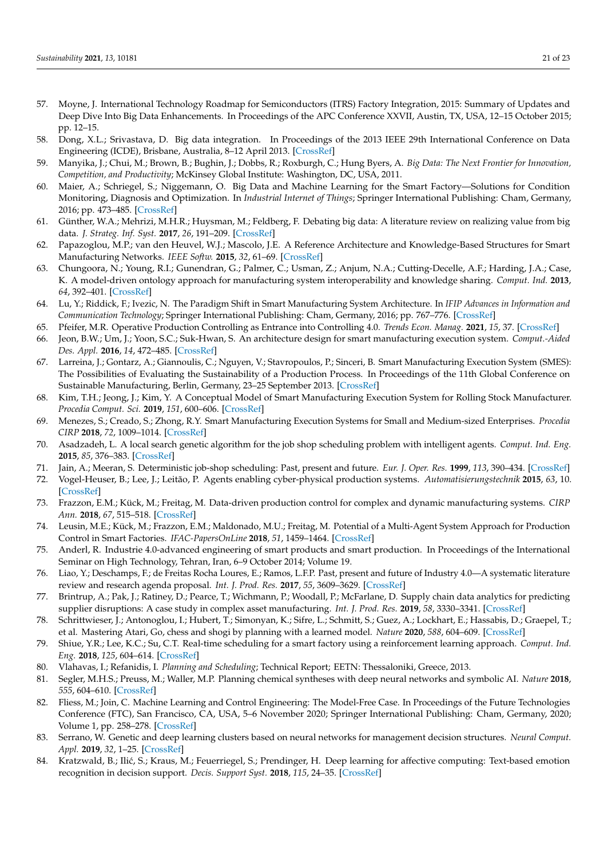- <span id="page-20-0"></span>57. Moyne, J. International Technology Roadmap for Semiconductors (ITRS) Factory Integration, 2015: Summary of Updates and Deep Dive Into Big Data Enhancements. In Proceedings of the APC Conference XXVII, Austin, TX, USA, 12–15 October 2015; pp. 12–15.
- <span id="page-20-1"></span>58. Dong, X.L.; Srivastava, D. Big data integration. In Proceedings of the 2013 IEEE 29th International Conference on Data Engineering (ICDE), Brisbane, Australia, 8–12 April 2013. [\[CrossRef\]](http://dx.doi.org/10.1109/icde.2013.6544914)
- <span id="page-20-2"></span>59. Manyika, J.; Chui, M.; Brown, B.; Bughin, J.; Dobbs, R.; Roxburgh, C.; Hung Byers, A. *Big Data: The Next Frontier for Innovation, Competition, and Productivity*; McKinsey Global Institute: Washington, DC, USA, 2011.
- <span id="page-20-3"></span>60. Maier, A.; Schriegel, S.; Niggemann, O. Big Data and Machine Learning for the Smart Factory—Solutions for Condition Monitoring, Diagnosis and Optimization. In *Industrial Internet of Things*; Springer International Publishing: Cham, Germany, 2016; pp. 473–485. [\[CrossRef\]](http://dx.doi.org/10.1007/978-3-319-42559-7_18)
- <span id="page-20-4"></span>61. Günther, W.A.; Mehrizi, M.H.R.; Huysman, M.; Feldberg, F. Debating big data: A literature review on realizing value from big data. *J. Strateg. Inf. Syst.* **2017**, *26*, 191–209. [\[CrossRef\]](http://dx.doi.org/10.1016/j.jsis.2017.07.003)
- <span id="page-20-5"></span>62. Papazoglou, M.P.; van den Heuvel, W.J.; Mascolo, J.E. A Reference Architecture and Knowledge-Based Structures for Smart Manufacturing Networks. *IEEE Softw.* **2015**, *32*, 61–69. [\[CrossRef\]](http://dx.doi.org/10.1109/MS.2015.57)
- <span id="page-20-6"></span>63. Chungoora, N.; Young, R.I.; Gunendran, G.; Palmer, C.; Usman, Z.; Anjum, N.A.; Cutting-Decelle, A.F.; Harding, J.A.; Case, K. A model-driven ontology approach for manufacturing system interoperability and knowledge sharing. *Comput. Ind.* **2013**, *64*, 392–401. [\[CrossRef\]](http://dx.doi.org/10.1016/j.compind.2013.01.003)
- <span id="page-20-7"></span>64. Lu, Y.; Riddick, F.; Ivezic, N. The Paradigm Shift in Smart Manufacturing System Architecture. In *IFIP Advances in Information and Communication Technology*; Springer International Publishing: Cham, Germany, 2016; pp. 767–776. [\[CrossRef\]](http://dx.doi.org/10.1007/978-3-319-51133-7_90)
- <span id="page-20-8"></span>65. Pfeifer, M.R. Operative Production Controlling as Entrance into Controlling 4.0. *Trends Econ. Manag.* **2021**, *15*, 37. [\[CrossRef\]](http://dx.doi.org/10.13164/trends.2021.37.73)
- <span id="page-20-9"></span>66. Jeon, B.W.; Um, J.; Yoon, S.C.; Suk-Hwan, S. An architecture design for smart manufacturing execution system. *Comput.-Aided Des. Appl.* **2016**, *14*, 472–485. [\[CrossRef\]](http://dx.doi.org/10.1080/16864360.2016.1257189)
- <span id="page-20-10"></span>67. Larreina, J.; Gontarz, A.; Giannoulis, C.; Nguyen, V.; Stavropoulos, P.; Sinceri, B. Smart Manufacturing Execution System (SMES): The Possibilities of Evaluating the Sustainability of a Production Process. In Proceedings of the 11th Global Conference on Sustainable Manufacturing, Berlin, Germany, 23–25 September 2013. [\[CrossRef\]](http://dx.doi.org/10.3929/ETHZ-A-010038053)
- <span id="page-20-11"></span>68. Kim, T.H.; Jeong, J.; Kim, Y. A Conceptual Model of Smart Manufacturing Execution System for Rolling Stock Manufacturer. *Procedia Comput. Sci.* **2019**, *151*, 600–606. [\[CrossRef\]](http://dx.doi.org/10.1016/j.procs.2019.04.081)
- <span id="page-20-12"></span>69. Menezes, S.; Creado, S.; Zhong, R.Y. Smart Manufacturing Execution Systems for Small and Medium-sized Enterprises. *Procedia CIRP* **2018**, *72*, 1009–1014. [\[CrossRef\]](http://dx.doi.org/10.1016/j.procir.2018.03.272)
- <span id="page-20-13"></span>70. Asadzadeh, L. A local search genetic algorithm for the job shop scheduling problem with intelligent agents. *Comput. Ind. Eng.* **2015**, *85*, 376–383. [\[CrossRef\]](http://dx.doi.org/10.1016/j.cie.2015.04.006)
- <span id="page-20-14"></span>71. Jain, A.; Meeran, S. Deterministic job-shop scheduling: Past, present and future. *Eur. J. Oper. Res.* **1999**, *113*, 390–434. [\[CrossRef\]](http://dx.doi.org/10.1016/S0377-2217(98)00113-1)
- <span id="page-20-15"></span>72. Vogel-Heuser, B.; Lee, J.; Leitão, P. Agents enabling cyber-physical production systems. *Automatisierungstechnik* **2015**, *63*, 10. [\[CrossRef\]](http://dx.doi.org/10.1515/auto-2014-1153)
- <span id="page-20-16"></span>73. Frazzon, E.M.; Kück, M.; Freitag, M. Data-driven production control for complex and dynamic manufacturing systems. *CIRP Ann.* **2018**, *67*, 515–518. [\[CrossRef\]](http://dx.doi.org/10.1016/j.cirp.2018.04.033)
- <span id="page-20-17"></span>74. Leusin, M.E.; Kück, M.; Frazzon, E.M.; Maldonado, M.U.; Freitag, M. Potential of a Multi-Agent System Approach for Production Control in Smart Factories. *IFAC-PapersOnLine* **2018**, *51*, 1459–1464. [\[CrossRef\]](http://dx.doi.org/10.1016/j.ifacol.2018.08.309)
- <span id="page-20-18"></span>75. Anderl, R. Industrie 4.0-advanced engineering of smart products and smart production. In Proceedings of the International Seminar on High Technology, Tehran, Iran, 6–9 October 2014; Volume 19.
- <span id="page-20-19"></span>76. Liao, Y.; Deschamps, F.; de Freitas Rocha Loures, E.; Ramos, L.F.P. Past, present and future of Industry 4.0—A systematic literature review and research agenda proposal. *Int. J. Prod. Res.* **2017**, *55*, 3609–3629. [\[CrossRef\]](http://dx.doi.org/10.1080/00207543.2017.1308576)
- <span id="page-20-20"></span>77. Brintrup, A.; Pak, J.; Ratiney, D.; Pearce, T.; Wichmann, P.; Woodall, P.; McFarlane, D. Supply chain data analytics for predicting supplier disruptions: A case study in complex asset manufacturing. *Int. J. Prod. Res.* **2019**, *58*, 3330–3341. [\[CrossRef\]](http://dx.doi.org/10.1080/00207543.2019.1685705)
- <span id="page-20-21"></span>78. Schrittwieser, J.; Antonoglou, I.; Hubert, T.; Simonyan, K.; Sifre, L.; Schmitt, S.; Guez, A.; Lockhart, E.; Hassabis, D.; Graepel, T.; et al. Mastering Atari, Go, chess and shogi by planning with a learned model. *Nature* **2020**, *588*, 604–609. [\[CrossRef\]](http://dx.doi.org/10.1038/s41586-020-03051-4)
- <span id="page-20-22"></span>79. Shiue, Y.R.; Lee, K.C.; Su, C.T. Real-time scheduling for a smart factory using a reinforcement learning approach. *Comput. Ind. Eng.* **2018**, *125*, 604–614. [\[CrossRef\]](http://dx.doi.org/10.1016/j.cie.2018.03.039)
- <span id="page-20-23"></span>80. Vlahavas, I.; Refanidis, I. *Planning and Scheduling*; Technical Report; EETN: Thessaloniki, Greece, 2013.
- <span id="page-20-24"></span>81. Segler, M.H.S.; Preuss, M.; Waller, M.P. Planning chemical syntheses with deep neural networks and symbolic AI. *Nature* **2018**, *555*, 604–610. [\[CrossRef\]](http://dx.doi.org/10.1038/nature25978)
- <span id="page-20-25"></span>82. Fliess, M.; Join, C. Machine Learning and Control Engineering: The Model-Free Case. In Proceedings of the Future Technologies Conference (FTC), San Francisco, CA, USA, 5–6 November 2020; Springer International Publishing: Cham, Germany, 2020; Volume 1, pp. 258–278. [\[CrossRef\]](http://dx.doi.org/10.1007/978-3-030-63128-4_20)
- <span id="page-20-26"></span>83. Serrano, W. Genetic and deep learning clusters based on neural networks for management decision structures. *Neural Comput. Appl.* **2019**, *32*, 1–25. [\[CrossRef\]](http://dx.doi.org/10.1007/s00521-019-04231-8)
- <span id="page-20-27"></span>84. Kratzwald, B.; Ilić, S.; Kraus, M.; Feuerriegel, S.; Prendinger, H. Deep learning for affective computing: Text-based emotion recognition in decision support. *Decis. Support Syst.* **2018**, *115*, 24–35. [\[CrossRef\]](http://dx.doi.org/10.1016/j.dss.2018.09.002)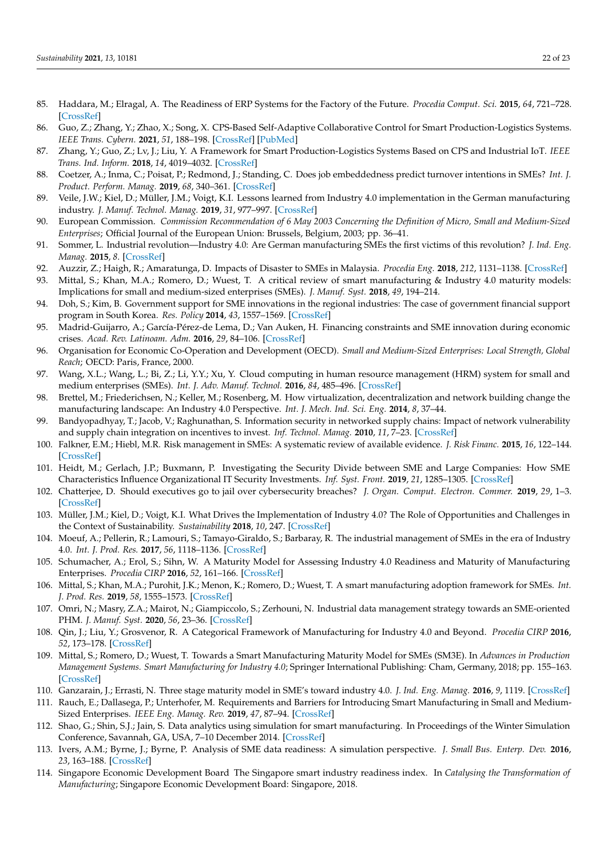- <span id="page-21-0"></span>85. Haddara, M.; Elragal, A. The Readiness of ERP Systems for the Factory of the Future. *Procedia Comput. Sci.* **2015**, *64*, 721–728. [\[CrossRef\]](http://dx.doi.org/10.1016/j.procs.2015.08.598)
- <span id="page-21-1"></span>86. Guo, Z.; Zhang, Y.; Zhao, X.; Song, X. CPS-Based Self-Adaptive Collaborative Control for Smart Production-Logistics Systems. *IEEE Trans. Cybern.* **2021**, *51*, 188–198. [\[CrossRef\]](http://dx.doi.org/10.1109/TCYB.2020.2964301) [\[PubMed\]](http://www.ncbi.nlm.nih.gov/pubmed/32086226)
- <span id="page-21-2"></span>87. Zhang, Y.; Guo, Z.; Lv, J.; Liu, Y. A Framework for Smart Production-Logistics Systems Based on CPS and Industrial IoT. *IEEE Trans. Ind. Inform.* **2018**, *14*, 4019–4032. [\[CrossRef\]](http://dx.doi.org/10.1109/TII.2018.2845683)
- <span id="page-21-3"></span>88. Coetzer, A.; Inma, C.; Poisat, P.; Redmond, J.; Standing, C. Does job embeddedness predict turnover intentions in SMEs? *Int. J. Product. Perform. Manag.* **2019**, *68*, 340–361. [\[CrossRef\]](http://dx.doi.org/10.1108/IJPPM-03-2018-0108)
- <span id="page-21-4"></span>89. Veile, J.W.; Kiel, D.; Müller, J.M.; Voigt, K.I. Lessons learned from Industry 4.0 implementation in the German manufacturing industry. *J. Manuf. Technol. Manag.* **2019**, *31*, 977–997. [\[CrossRef\]](http://dx.doi.org/10.1108/JMTM-08-2018-0270)
- <span id="page-21-5"></span>90. European Commission. *Commission Recommendation of 6 May 2003 Concerning the Definition of Micro, Small and Medium-Sized Enterprises*; Official Journal of the European Union: Brussels, Belgium, 2003; pp. 36–41.
- <span id="page-21-6"></span>91. Sommer, L. Industrial revolution—Industry 4.0: Are German manufacturing SMEs the first victims of this revolution? *J. Ind. Eng. Manag.* **2015**, *8*. [\[CrossRef\]](http://dx.doi.org/10.3926/jiem.1470)
- <span id="page-21-7"></span>92. Auzzir, Z.; Haigh, R.; Amaratunga, D. Impacts of Disaster to SMEs in Malaysia. *Procedia Eng.* **2018**, *212*, 1131–1138. [\[CrossRef\]](http://dx.doi.org/10.1016/j.proeng.2018.01.146)
- <span id="page-21-8"></span>93. Mittal, S.; Khan, M.A.; Romero, D.; Wuest, T. A critical review of smart manufacturing & Industry 4.0 maturity models: Implications for small and medium-sized enterprises (SMEs). *J. Manuf. Syst.* **2018**, *49*, 194–214.
- <span id="page-21-9"></span>94. Doh, S.; Kim, B. Government support for SME innovations in the regional industries: The case of government financial support program in South Korea. *Res. Policy* **2014**, *43*, 1557–1569. [\[CrossRef\]](http://dx.doi.org/10.1016/j.respol.2014.05.001)
- <span id="page-21-10"></span>95. Madrid-Guijarro, A.; García-Pérez-de Lema, D.; Van Auken, H. Financing constraints and SME innovation during economic crises. *Acad. Rev. Latinoam. Adm.* **2016**, *29*, 84–106. [\[CrossRef\]](http://dx.doi.org/10.1108/ARLA-04-2015-0067)
- <span id="page-21-11"></span>96. Organisation for Economic Co-Operation and Development (OECD). *Small and Medium-Sized Enterprises: Local Strength, Global Reach*; OECD: Paris, France, 2000.
- <span id="page-21-12"></span>97. Wang, X.L.; Wang, L.; Bi, Z.; Li, Y.Y.; Xu, Y. Cloud computing in human resource management (HRM) system for small and medium enterprises (SMEs). *Int. J. Adv. Manuf. Technol.* **2016**, *84*, 485–496. [\[CrossRef\]](http://dx.doi.org/10.1007/s00170-016-8493-8)
- <span id="page-21-13"></span>98. Brettel, M.; Friederichsen, N.; Keller, M.; Rosenberg, M. How virtualization, decentralization and network building change the manufacturing landscape: An Industry 4.0 Perspective. *Int. J. Mech. Ind. Sci. Eng.* **2014**, *8*, 37–44.
- <span id="page-21-14"></span>99. Bandyopadhyay, T.; Jacob, V.; Raghunathan, S. Information security in networked supply chains: Impact of network vulnerability and supply chain integration on incentives to invest. *Inf. Technol. Manag.* **2010**, *11*, 7–23. [\[CrossRef\]](http://dx.doi.org/10.1007/s10799-010-0066-1)
- <span id="page-21-15"></span>100. Falkner, E.M.; Hiebl, M.R. Risk management in SMEs: A systematic review of available evidence. *J. Risk Financ.* **2015**, *16*, 122–144. [\[CrossRef\]](http://dx.doi.org/10.1108/JRF-06-2014-0079)
- <span id="page-21-16"></span>101. Heidt, M.; Gerlach, J.P.; Buxmann, P. Investigating the Security Divide between SME and Large Companies: How SME Characteristics Influence Organizational IT Security Investments. *Inf. Syst. Front.* **2019**, *21*, 1285–1305. [\[CrossRef\]](http://dx.doi.org/10.1007/s10796-019-09959-1)
- <span id="page-21-17"></span>102. Chatterjee, D. Should executives go to jail over cybersecurity breaches? *J. Organ. Comput. Electron. Commer.* **2019**, *29*, 1–3. [\[CrossRef\]](http://dx.doi.org/10.1080/10919392.2019.1568713)
- <span id="page-21-18"></span>103. Müller, J.M.; Kiel, D.; Voigt, K.I. What Drives the Implementation of Industry 4.0? The Role of Opportunities and Challenges in the Context of Sustainability. *Sustainability* **2018**, *10*, 247. [\[CrossRef\]](http://dx.doi.org/10.3390/su10010247)
- <span id="page-21-19"></span>104. Moeuf, A.; Pellerin, R.; Lamouri, S.; Tamayo-Giraldo, S.; Barbaray, R. The industrial management of SMEs in the era of Industry 4.0. *Int. J. Prod. Res.* **2017**, *56*, 1118–1136. [\[CrossRef\]](http://dx.doi.org/10.1080/00207543.2017.1372647)
- <span id="page-21-20"></span>105. Schumacher, A.; Erol, S.; Sihn, W. A Maturity Model for Assessing Industry 4.0 Readiness and Maturity of Manufacturing Enterprises. *Procedia CIRP* **2016**, *52*, 161–166. [\[CrossRef\]](http://dx.doi.org/10.1016/j.procir.2016.07.040)
- <span id="page-21-21"></span>106. Mittal, S.; Khan, M.A.; Purohit, J.K.; Menon, K.; Romero, D.; Wuest, T. A smart manufacturing adoption framework for SMEs. *Int. J. Prod. Res.* **2019**, *58*, 1555–1573. [\[CrossRef\]](http://dx.doi.org/10.1080/00207543.2019.1661540)
- <span id="page-21-22"></span>107. Omri, N.; Masry, Z.A.; Mairot, N.; Giampiccolo, S.; Zerhouni, N. Industrial data management strategy towards an SME-oriented PHM. *J. Manuf. Syst.* **2020**, *56*, 23–36. [\[CrossRef\]](http://dx.doi.org/10.1016/j.jmsy.2020.04.002)
- <span id="page-21-23"></span>108. Qin, J.; Liu, Y.; Grosvenor, R. A Categorical Framework of Manufacturing for Industry 4.0 and Beyond. *Procedia CIRP* **2016**, *52*, 173–178. [\[CrossRef\]](http://dx.doi.org/10.1016/j.procir.2016.08.005)
- <span id="page-21-24"></span>109. Mittal, S.; Romero, D.; Wuest, T. Towards a Smart Manufacturing Maturity Model for SMEs (SM3E). In *Advances in Production Management Systems. Smart Manufacturing for Industry 4.0*; Springer International Publishing: Cham, Germany, 2018; pp. 155–163. [\[CrossRef\]](http://dx.doi.org/10.1007/978-3-319-99707-0_20)
- <span id="page-21-25"></span>110. Ganzarain, J.; Errasti, N. Three stage maturity model in SME's toward industry 4.0. *J. Ind. Eng. Manag.* **2016**, *9*, 1119. [\[CrossRef\]](http://dx.doi.org/10.3926/jiem.2073)
- <span id="page-21-26"></span>111. Rauch, E.; Dallasega, P.; Unterhofer, M. Requirements and Barriers for Introducing Smart Manufacturing in Small and Medium-Sized Enterprises. *IEEE Eng. Manag. Rev.* **2019**, *47*, 87–94. [\[CrossRef\]](http://dx.doi.org/10.1109/EMR.2019.2931564)
- <span id="page-21-27"></span>112. Shao, G.; Shin, S.J.; Jain, S. Data analytics using simulation for smart manufacturing. In Proceedings of the Winter Simulation Conference, Savannah, GA, USA, 7–10 December 2014. [\[CrossRef\]](http://dx.doi.org/10.1109/wsc.2014.7020063)
- <span id="page-21-28"></span>113. Ivers, A.M.; Byrne, J.; Byrne, P. Analysis of SME data readiness: A simulation perspective. *J. Small Bus. Enterp. Dev.* **2016**, *23*, 163–188. [\[CrossRef\]](http://dx.doi.org/10.1108/JSBED-03-2014-0046)
- <span id="page-21-29"></span>114. Singapore Economic Development Board The Singapore smart industry readiness index. In *Catalysing the Transformation of Manufacturing*; Singapore Economic Development Board: Singapore, 2018.